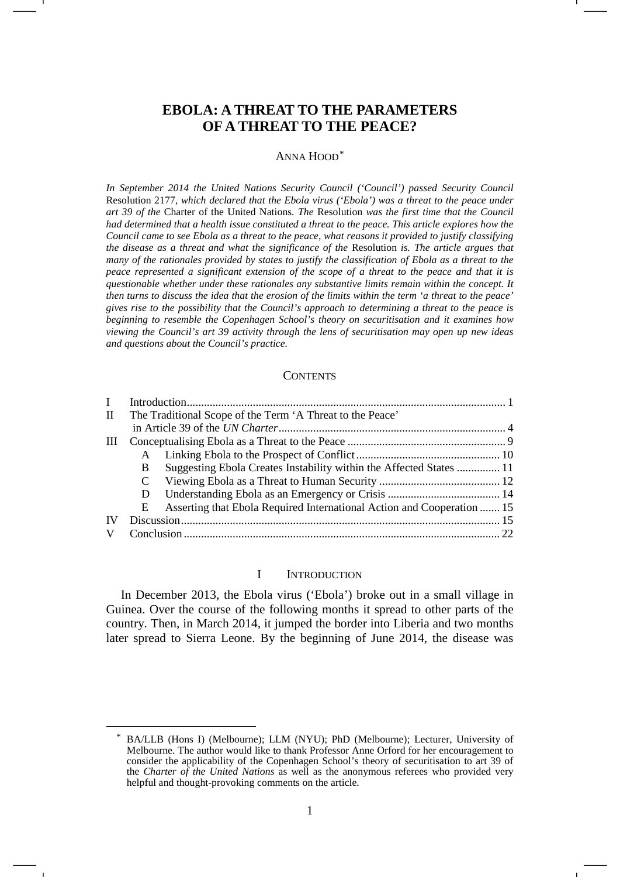# **EBOLA: A THREAT TO THE PARAMETERS OF A THREAT TO THE PEACE?**

#### ANNA HOOD[\\*](#page-0-0)

*In September 2014 the United Nations Security Council ('Council') passed Security Council*  Resolution 2177*, which declared that the Ebola virus ('Ebola') was a threat to the peace under art 39 of the* Charter of the United Nations*. The* Resolution *was the first time that the Council had determined that a health issue constituted a threat to the peace. This article explores how the Council came to see Ebola as a threat to the peace, what reasons it provided to justify classifying the disease as a threat and what the significance of the* Resolution *is. The article argues that many of the rationales provided by states to justify the classification of Ebola as a threat to the peace represented a significant extension of the scope of a threat to the peace and that it is questionable whether under these rationales any substantive limits remain within the concept. It then turns to discuss the idea that the erosion of the limits within the term 'a threat to the peace' gives rise to the possibility that the Council's approach to determining a threat to the peace is beginning to resemble the Copenhagen School's theory on securitisation and it examines how viewing the Council's art 39 activity through the lens of securitisation may open up new ideas and questions about the Council's practice.*

#### **CONTENTS**

| $\mathbf{I}$ |                                                           |                                                                        |  |  |
|--------------|-----------------------------------------------------------|------------------------------------------------------------------------|--|--|
| $\mathbf{I}$ | The Traditional Scope of the Term 'A Threat to the Peace' |                                                                        |  |  |
|              |                                                           |                                                                        |  |  |
| Ш            |                                                           |                                                                        |  |  |
|              | A                                                         |                                                                        |  |  |
|              | B                                                         | Suggesting Ebola Creates Instability within the Affected States  11    |  |  |
|              | C                                                         |                                                                        |  |  |
|              | Ð                                                         |                                                                        |  |  |
|              | E                                                         | Asserting that Ebola Required International Action and Cooperation  15 |  |  |
| IV           |                                                           |                                                                        |  |  |
| V            |                                                           |                                                                        |  |  |

#### I INTRODUCTION

In December 2013, the Ebola virus ('Ebola') broke out in a small village in Guinea. Over the course of the following months it spread to other parts of the country. Then, in March 2014, it jumped the border into Liberia and two months later spread to Sierra Leone. By the beginning of June 2014, the disease was

<span id="page-0-0"></span> <sup>\*</sup> BA/LLB (Hons I) (Melbourne); LLM (NYU); PhD (Melbourne); Lecturer, University of Melbourne. The author would like to thank Professor Anne Orford for her encouragement to consider the applicability of the Copenhagen School's theory of securitisation to art 39 of the *Charter of the United Nations* as well as the anonymous referees who provided very helpful and thought-provoking comments on the article.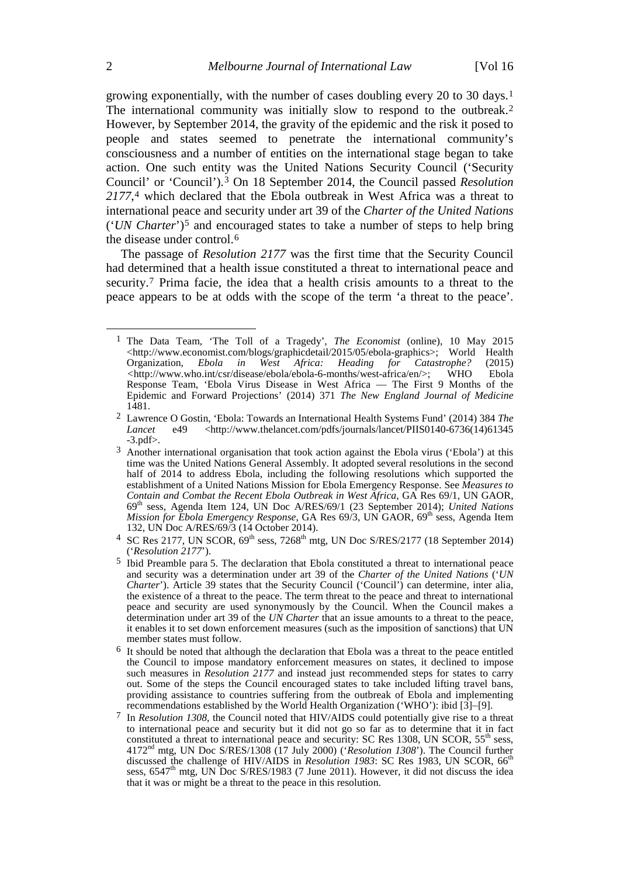growing exponentially, with the number of cases doubling every 20 to 30 days.[1](#page-1-0) The international community was initially slow to respond to the outbreak.<sup>[2](#page-1-1)</sup> However, by September 2014, the gravity of the epidemic and the risk it posed to people and states seemed to penetrate the international community's consciousness and a number of entities on the international stage began to take action. One such entity was the United Nations Security Council ('Security Council' or 'Council').[3](#page-1-2) On 18 September 2014, the Council passed *Resolution 2177*,[4](#page-1-3) which declared that the Ebola outbreak in West Africa was a threat to international peace and security under art 39 of the *Charter of the United Nations* ('*UN Charter*')[5](#page-1-4) and encouraged states to take a number of steps to help bring the disease under control.[6](#page-1-5)

<span id="page-1-7"></span>The passage of *Resolution 2177* was the first time that the Security Council had determined that a health issue constituted a threat to international peace and security.<sup>[7](#page-1-6)</sup> Prima facie, the idea that a health crisis amounts to a threat to the peace appears to be at odds with the scope of the term 'a threat to the peace'.

<span id="page-1-0"></span> <sup>1</sup> The Data Team, 'The Toll of a Tragedy', *The Economist* (online), 10 May 2015 <http://www.economist.com/blogs/graphicdetail/2015/05/ebola-graphics>; World Health<br>Organization, Ebola in West Africa: Heading for Catastrophe? (2015) *in* West Africa: Heading for Catastrophe? (2015)<br>/disease/ebola/ebola-6-months/west-africa/en/>: WHO Ebola  $\langle$ http://www.who.int/csr/disease/ebola/ebola-6-months/west-africa/en/>; Response Team, 'Ebola Virus Disease in West Africa — The First 9 Months of the Epidemic and Forward Projections' (2014) 371 *The New England Journal of Medicine* 1481.

<span id="page-1-1"></span><sup>2</sup> Lawrence O Gostin, 'Ebola: Towards an International Health Systems Fund' (2014) 384 *The Lancet* e49 <http://www.thelancet.com/pdfs/journals/lancet/PIIS0140-6736(14)61345 -3.pdf>.

<span id="page-1-2"></span><sup>3</sup> Another international organisation that took action against the Ebola virus ('Ebola') at this time was the United Nations General Assembly. It adopted several resolutions in the second half of 2014 to address Ebola, including the following resolutions which supported the establishment of a United Nations Mission for Ebola Emergency Response. See *Measures to Contain and Combat the Recent Ebola Outbreak in West Africa,* GA Res 69/1, UN GAOR, 69th sess, Agenda Item 124, UN Doc A/RES/69/1 (23 September 2014); *United Nations Mission for Ebola Emergency Response*, GA Res 69/3, UN GAOR, 69<sup>th</sup> sess, Agenda Item 132, UN Doc A/RES/69/3 (14 October 2014).

<span id="page-1-3"></span><sup>&</sup>lt;sup>4</sup> SC Res 2177, UN SCOR,  $69<sup>th</sup>$  sess, 7268<sup>th</sup> mtg, UN Doc S/RES/2177 (18 September 2014) ('*Resolution 2177*').

<span id="page-1-4"></span><sup>5</sup> Ibid Preamble para 5. The declaration that Ebola constituted a threat to international peace and security was a determination under art 39 of the *Charter of the United Nations* ('*UN Charter*'). Article 39 states that the Security Council ('Council') can determine, inter alia, the existence of a threat to the peace. The term threat to the peace and threat to international peace and security are used synonymously by the Council. When the Council makes a determination under art 39 of the *UN Charter* that an issue amounts to a threat to the peace, it enables it to set down enforcement measures (such as the imposition of sanctions) that UN member states must follow.

<span id="page-1-5"></span><sup>6</sup> It should be noted that although the declaration that Ebola was a threat to the peace entitled the Council to impose mandatory enforcement measures on states, it declined to impose such measures in *Resolution 2177* and instead just recommended steps for states to carry out. Some of the steps the Council encouraged states to take included lifting travel bans, providing assistance to countries suffering from the outbreak of Ebola and implementing recommendations established by the World Health Organization ('WHO'): ibid [3]–[9].

<span id="page-1-6"></span><sup>7</sup> In *Resolution 1308*, the Council noted that HIV/AIDS could potentially give rise to a threat to international peace and security but it did not go so far as to determine that it in fact constituted a threat to international peace and security: SC Res 1308, UN SCOR, 55<sup>th</sup> sess, 4172nd mtg, UN Doc S/RES/1308 (17 July 2000) ('*Resolution 1308*'). The Council further discussed the challenge of HIV/AIDS in *Resolution 1983*: SC Res 1983, UN SCOR, 66<sup>th</sup> sess,  $6547<sup>th</sup>$  mtg, UN Doc S/RES/1983 (7 June 2011). However, it did not discuss the idea that it was or might be a threat to the peace in this resolution.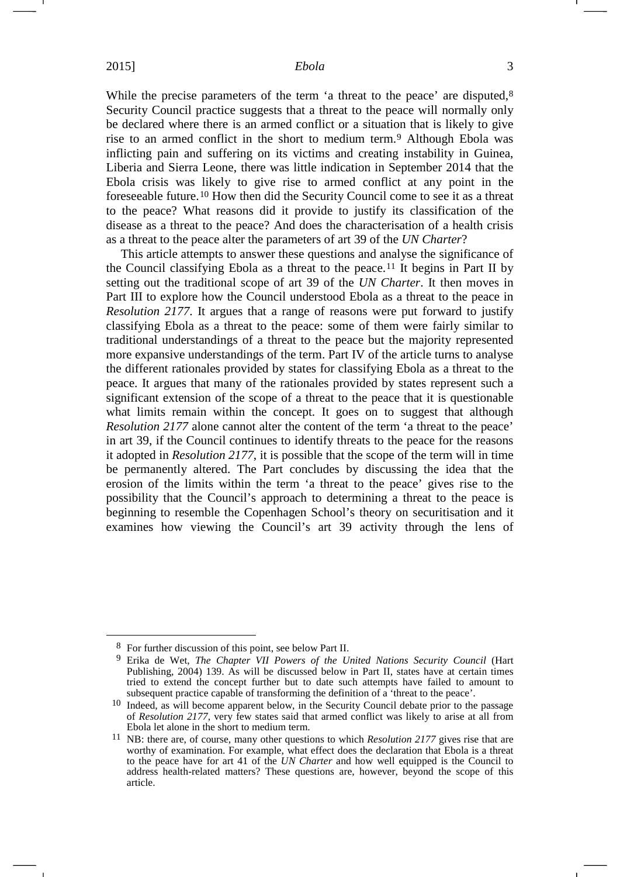<span id="page-2-4"></span>While the precise parameters of the term 'a threat to the peace' are disputed,<sup>[8](#page-2-0)</sup> Security Council practice suggests that a threat to the peace will normally only be declared where there is an armed conflict or a situation that is likely to give rise to an armed conflict in the short to medium term.[9](#page-2-1) Although Ebola was inflicting pain and suffering on its victims and creating instability in Guinea, Liberia and Sierra Leone, there was little indication in September 2014 that the Ebola crisis was likely to give rise to armed conflict at any point in the foreseeable future.[10](#page-2-2) How then did the Security Council come to see it as a threat to the peace? What reasons did it provide to justify its classification of the disease as a threat to the peace? And does the characterisation of a health crisis as a threat to the peace alter the parameters of art 39 of the *UN Charter*?

This article attempts to answer these questions and analyse the significance of the Council classifying Ebola as a threat to the peace.<sup>[11](#page-2-3)</sup> It begins in Part II by setting out the traditional scope of art 39 of the *UN Charter*. It then moves in Part III to explore how the Council understood Ebola as a threat to the peace in *Resolution 2177*. It argues that a range of reasons were put forward to justify classifying Ebola as a threat to the peace: some of them were fairly similar to traditional understandings of a threat to the peace but the majority represented more expansive understandings of the term. Part IV of the article turns to analyse the different rationales provided by states for classifying Ebola as a threat to the peace. It argues that many of the rationales provided by states represent such a significant extension of the scope of a threat to the peace that it is questionable what limits remain within the concept. It goes on to suggest that although *Resolution 2177* alone cannot alter the content of the term 'a threat to the peace' in art 39, if the Council continues to identify threats to the peace for the reasons it adopted in *Resolution 2177*, it is possible that the scope of the term will in time be permanently altered. The Part concludes by discussing the idea that the erosion of the limits within the term 'a threat to the peace' gives rise to the possibility that the Council's approach to determining a threat to the peace is beginning to resemble the Copenhagen School's theory on securitisation and it examines how viewing the Council's art 39 activity through the lens of

<span id="page-2-0"></span> <sup>8</sup> For further discussion of this point, see below Part II.

<span id="page-2-1"></span><sup>9</sup> Erika de Wet, *The Chapter VII Powers of the United Nations Security Council* (Hart Publishing, 2004) 139. As will be discussed below in Part II, states have at certain times tried to extend the concept further but to date such attempts have failed to amount to subsequent practice capable of transforming the definition of a 'threat to the peace'.

<span id="page-2-2"></span><sup>10</sup> Indeed, as will become apparent below, in the Security Council debate prior to the passage of *Resolution 2177*, very few states said that armed conflict was likely to arise at all from Ebola let alone in the short to medium term.

<span id="page-2-3"></span><sup>11</sup> NB: there are, of course, many other questions to which *Resolution 2177* gives rise that are worthy of examination. For example, what effect does the declaration that Ebola is a threat to the peace have for art 41 of the *UN Charter* and how well equipped is the Council to address health-related matters? These questions are, however, beyond the scope of this article.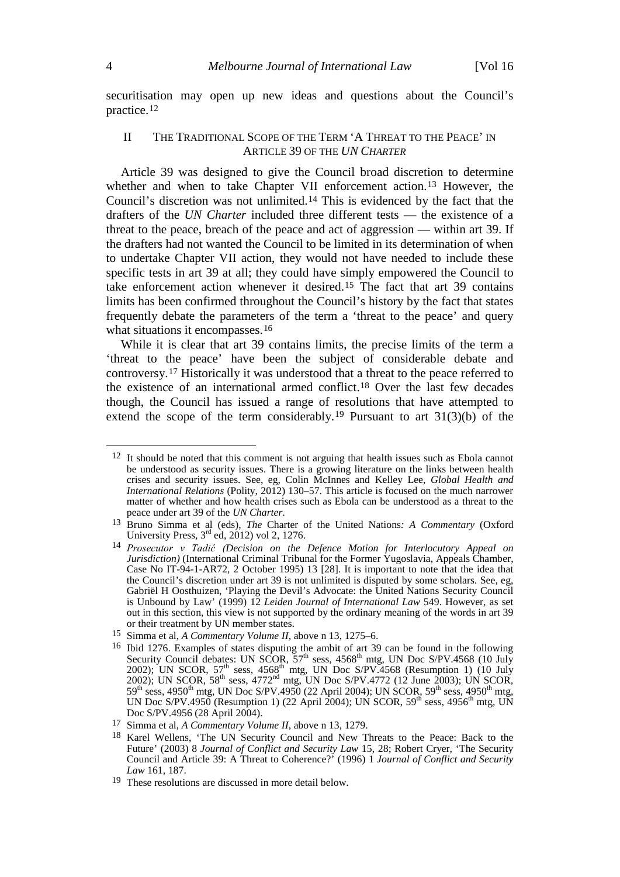securitisation may open up new ideas and questions about the Council's practice.[12](#page-3-1)

### <span id="page-3-10"></span><span id="page-3-0"></span>II THE TRADITIONAL SCOPE OF THE TERM 'A THREAT TO THE PEACE' IN ARTICLE 39 OF THE *UN CHARTER*

Article 39 was designed to give the Council broad discretion to determine whether and when to take Chapter VII enforcement action.[13](#page-3-2) However, the Council's discretion was not unlimited.[14](#page-3-3) This is evidenced by the fact that the drafters of the *UN Charter* included three different tests — the existence of a threat to the peace, breach of the peace and act of aggression — within art 39. If the drafters had not wanted the Council to be limited in its determination of when to undertake Chapter VII action, they would not have needed to include these specific tests in art 39 at all; they could have simply empowered the Council to take enforcement action whenever it desired.[15](#page-3-4) The fact that art 39 contains limits has been confirmed throughout the Council's history by the fact that states frequently debate the parameters of the term a 'threat to the peace' and query what situations it encompasses.<sup>[16](#page-3-5)</sup>

<span id="page-3-9"></span>While it is clear that art 39 contains limits, the precise limits of the term a 'threat to the peace' have been the subject of considerable debate and controversy.[17](#page-3-6) Historically it was understood that a threat to the peace referred to the existence of an international armed conflict.[18](#page-3-7) Over the last few decades though, the Council has issued a range of resolutions that have attempted to extend the scope of the term considerably.<sup>[19](#page-3-8)</sup> Pursuant to art  $31(3)(b)$  of the

<span id="page-3-1"></span><sup>&</sup>lt;sup>12</sup> It should be noted that this comment is not arguing that health issues such as Ebola cannot be understood as security issues. There is a growing literature on the links between health crises and security issues. See, eg, Colin McInnes and Kelley Lee, *Global Health and International Relations* (Polity, 2012) 130–57. This article is focused on the much narrower matter of whether and how health crises such as Ebola can be understood as a threat to the peace under art 39 of the *UN Charter*.

<span id="page-3-2"></span><sup>13</sup> Bruno Simma et al (eds), *The* Charter of the United Nations*: A Commentary* (Oxford University Press,  $3<sup>rd</sup>$  ed,  $2012$ ) vol 2, 1276.

<span id="page-3-3"></span><sup>14</sup> *Prosecutor v Tadić (Decision on the Defence Motion for Interlocutory Appeal on Jurisdiction*) (International Criminal Tribunal for the Former Yugoslavia, Appeals Chamber, Case No IT-94-1-AR72, 2 October 1995) 13 [28]. It is important to note that the idea that the Council's discretion under art 39 is not unlimited is disputed by some scholars. See, eg, Gabriël H Oosthuizen, 'Playing the Devil's Advocate: the United Nations Security Council is Unbound by Law' (1999) 12 *Leiden Journal of International Law* 549. However, as set out in this section, this view is not supported by the ordinary meaning of the words in art 39 or their treatment by UN member states.

<span id="page-3-4"></span><sup>15</sup> Simma et al, *A Commentary Volume II*, above n [13,](#page-3-0) 1275–6.

<span id="page-3-5"></span><sup>16</sup> Ibid 1276. Examples of states disputing the ambit of art 39 can be found in the following Security Council debates: UN SCOR,  $57<sup>th</sup>$  sess, 4568<sup>th</sup> mtg, UN Doc S/PV.4568 (10 July 2002); UN SCOR,  $57<sup>th</sup>$  sess,  $4568<sup>th</sup>$  mtg, UN Doc S/PV.4568 (Resumption 1) (10 July 2002); UN SCOR,  $58^{th}$  sess,  $4772^{nd}$  mtg, UN Doc S/PV.4772 (12 June 2003); UN SCOR,  $59<sup>th</sup>$  sess, 4950<sup>th</sup> mtg, UN Doc S/PV.4950 (22 April 2004); UN SCOR, 59<sup>th</sup> sess, 4950<sup>th</sup> mtg, UN Doc S/PV.4950 (Resumption 1) (22 April 2004); UN SCOR, 59<sup>th</sup> sess, 4956<sup>th</sup> mtg, UN Doc S/PV.4956 (28 April 2004).

<span id="page-3-6"></span><sup>17</sup> Simma et al, *A Commentary Volume II*, above n [13,](#page-3-0) 1279.

<span id="page-3-7"></span><sup>18</sup> Karel Wellens, 'The UN Security Council and New Threats to the Peace: Back to the Future' (2003) 8 *Journal of Conflict and Security Law* 15, 28; Robert Cryer, 'The Security Council and Article 39: A Threat to Coherence?' (1996) 1 *Journal of Conflict and Security Law* 161, 187.

<span id="page-3-8"></span><sup>19</sup> These resolutions are discussed in more detail below.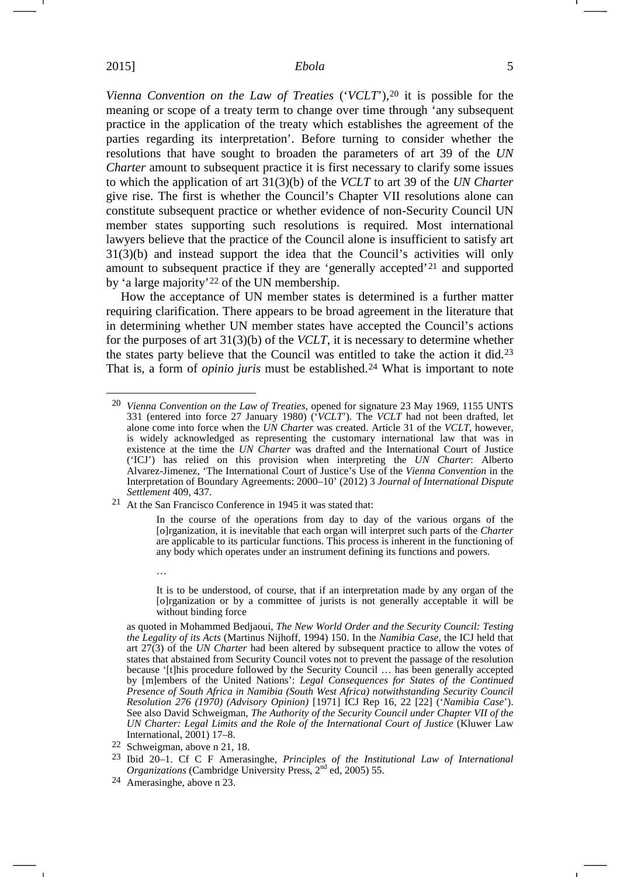*Vienna Convention on the Law of Treaties* ('*VCLT*'),[20](#page-4-2) it is possible for the meaning or scope of a treaty term to change over time through 'any subsequent practice in the application of the treaty which establishes the agreement of the parties regarding its interpretation'. Before turning to consider whether the resolutions that have sought to broaden the parameters of art 39 of the *UN Charter* amount to subsequent practice it is first necessary to clarify some issues to which the application of art 31(3)(b) of the *VCLT* to art 39 of the *UN Charter* give rise. The first is whether the Council's Chapter VII resolutions alone can constitute subsequent practice or whether evidence of non-Security Council UN member states supporting such resolutions is required. Most international lawyers believe that the practice of the Council alone is insufficient to satisfy art 31(3)(b) and instead support the idea that the Council's activities will only amount to subsequent practice if they are 'generally accepted'[21](#page-4-3) and supported by 'a large majority'[22](#page-4-4) of the UN membership.

<span id="page-4-0"></span>How the acceptance of UN member states is determined is a further matter requiring clarification. There appears to be broad agreement in the literature that in determining whether UN member states have accepted the Council's actions for the purposes of art 31(3)(b) of the *VCLT*, it is necessary to determine whether the states party believe that the Council was entitled to take the action it did.[23](#page-4-5) That is, a form of *opinio juris* must be established.[24](#page-4-6) What is important to note

<span id="page-4-3"></span>21 At the San Francisco Conference in 1945 it was stated that:

23 Ibid 20–1. Cf C F Amerasinghe, *Principles of the Institutional Law of International Organizations* (Cambridge University Press, 2nd ed, 2005) 55.

…

<span id="page-4-2"></span> <sup>20</sup> *Vienna Convention on the Law of Treaties*, opened for signature 23 May 1969, 1155 UNTS 331 (entered into force 27 January 1980) ('*VCLT*')*.* The *VCLT* had not been drafted, let alone come into force when the *UN Charter* was created. Article 31 of the *VCLT*, however, is widely acknowledged as representing the customary international law that was in existence at the time the *UN Charter* was drafted and the International Court of Justice ('ICJ') has relied on this provision when interpreting the *UN Charter*: Alberto Alvarez-Jimenez, 'The International Court of Justice's Use of the *Vienna Convention* in the Interpretation of Boundary Agreements: 2000–10' (2012) 3 *Journal of International Dispute Settlement* 409, 437.

<span id="page-4-1"></span>In the course of the operations from day to day of the various organs of the [o]rganization, it is inevitable that each organ will interpret such parts of the *Charter* are applicable to its particular functions. This process is inherent in the functioning of any body which operates under an instrument defining its functions and powers.

It is to be understood, of course, that if an interpretation made by any organ of the [o]rganization or by a committee of jurists is not generally acceptable it will be without binding force

as quoted in Mohammed Bedjaoui, *The New World Order and the Security Council: Testing the Legality of its Acts* (Martinus Nijhoff, 1994) 150. In the *Namibia Case*, the ICJ held that art 27(3) of the *UN Charter* had been altered by subsequent practice to allow the votes of states that abstained from Security Council votes not to prevent the passage of the resolution because '[t]his procedure followed by the Security Council ... has been generally accepted by [m]embers of the United Nations': *Legal Consequences for States of the Continued Presence of South Africa in Namibia (South West Africa) notwithstanding Security Council Resolution 276 (1970) (Advisory Opinion)* [1971] ICJ Rep 16, 22 [22] ('*Namibia Case*'). See also David Schweigman, *The Authority of the Security Council under Chapter VII of the UN Charter: Legal Limits and the Role of the International Court of Justice* (Kluwer Law International, 2001) 17–8.

<span id="page-4-5"></span><span id="page-4-4"></span><sup>22</sup> Schweigman, above n [21,](#page-4-0) 18.

<span id="page-4-6"></span><sup>24</sup> Amerasinghe, above n [23.](#page-4-1)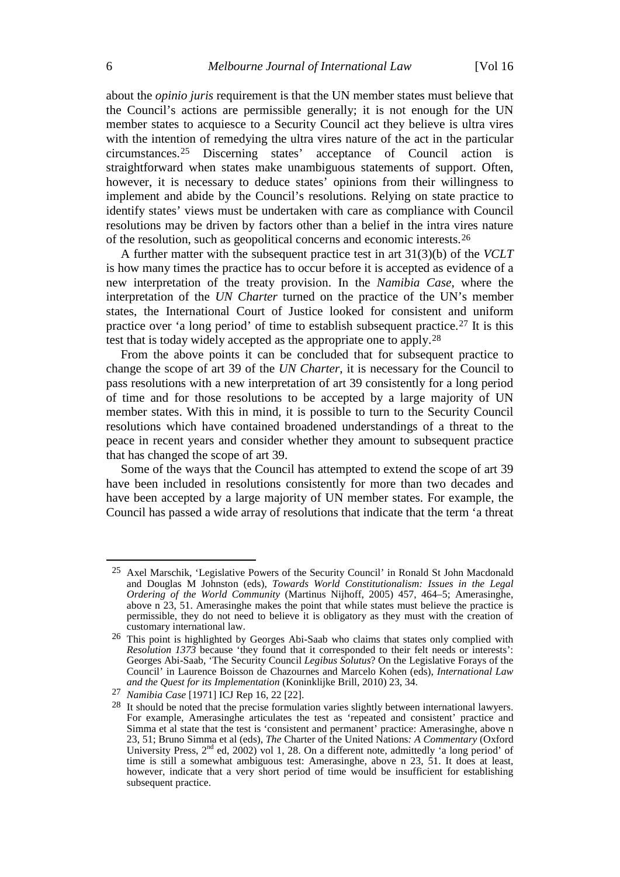about the *opinio juris* requirement is that the UN member states must believe that the Council's actions are permissible generally; it is not enough for the UN member states to acquiesce to a Security Council act they believe is ultra vires with the intention of remedying the ultra vires nature of the act in the particular circumstances.[25](#page-5-0) Discerning states' acceptance of Council action is straightforward when states make unambiguous statements of support. Often, however, it is necessary to deduce states' opinions from their willingness to implement and abide by the Council's resolutions. Relying on state practice to identify states' views must be undertaken with care as compliance with Council resolutions may be driven by factors other than a belief in the intra vires nature of the resolution, such as geopolitical concerns and economic interests.[26](#page-5-1)

A further matter with the subsequent practice test in art 31(3)(b) of the *VCLT* is how many times the practice has to occur before it is accepted as evidence of a new interpretation of the treaty provision. In the *Namibia Case*, where the interpretation of the *UN Charter* turned on the practice of the UN's member states, the International Court of Justice looked for consistent and uniform practice over 'a long period' of time to establish subsequent practice.[27](#page-5-2) It is this test that is today widely accepted as the appropriate one to apply.[28](#page-5-3)

From the above points it can be concluded that for subsequent practice to change the scope of art 39 of the *UN Charter*, it is necessary for the Council to pass resolutions with a new interpretation of art 39 consistently for a long period of time and for those resolutions to be accepted by a large majority of UN member states. With this in mind, it is possible to turn to the Security Council resolutions which have contained broadened understandings of a threat to the peace in recent years and consider whether they amount to subsequent practice that has changed the scope of art 39.

Some of the ways that the Council has attempted to extend the scope of art 39 have been included in resolutions consistently for more than two decades and have been accepted by a large majority of UN member states. For example, the Council has passed a wide array of resolutions that indicate that the term 'a threat

<span id="page-5-0"></span> <sup>25</sup> Axel Marschik, 'Legislative Powers of the Security Council' in Ronald St John Macdonald and Douglas M Johnston (eds), *Towards World Constitutionalism: Issues in the Legal Ordering of the World Community* (Martinus Nijhoff, 2005) 457, 464–5; Amerasinghe, above n [23,](#page-4-1) 51. Amerasinghe makes the point that while states must believe the practice is permissible, they do not need to believe it is obligatory as they must with the creation of customary international law.

<span id="page-5-1"></span><sup>26</sup> This point is highlighted by Georges Abi-Saab who claims that states only complied with *Resolution 1373* because 'they found that it corresponded to their felt needs or interests': Georges Abi-Saab, 'The Security Council *Legibus Solutus*? On the Legislative Forays of the Council' in Laurence Boisson de Chazournes and Marcelo Kohen (eds), *International Law and the Quest for its Implementation* (Koninklijke Brill, 2010) 23, 34.

<span id="page-5-3"></span><span id="page-5-2"></span><sup>27</sup> *Namibia Case* [1971] ICJ Rep 16, 22 [22].

<sup>&</sup>lt;sup>28</sup> It should be noted that the precise formulation varies slightly between international lawyers. For example, Amerasinghe articulates the test as 'repeated and consistent' practice and Simma et al state that the test is 'consistent and permanent' practice: Amerasinghe, above n [23,](#page-4-1) 51; Bruno Simma et al (eds), *The* Charter of the United Nations*: A Commentary* (Oxford University Press, 2nd ed, 2002) vol 1, 28. On a different note, admittedly 'a long period' of time is still a somewhat ambiguous test: Amerasinghe, above n [23,](#page-4-1) 51. It does at least, however, indicate that a very short period of time would be insufficient for establishing subsequent practice.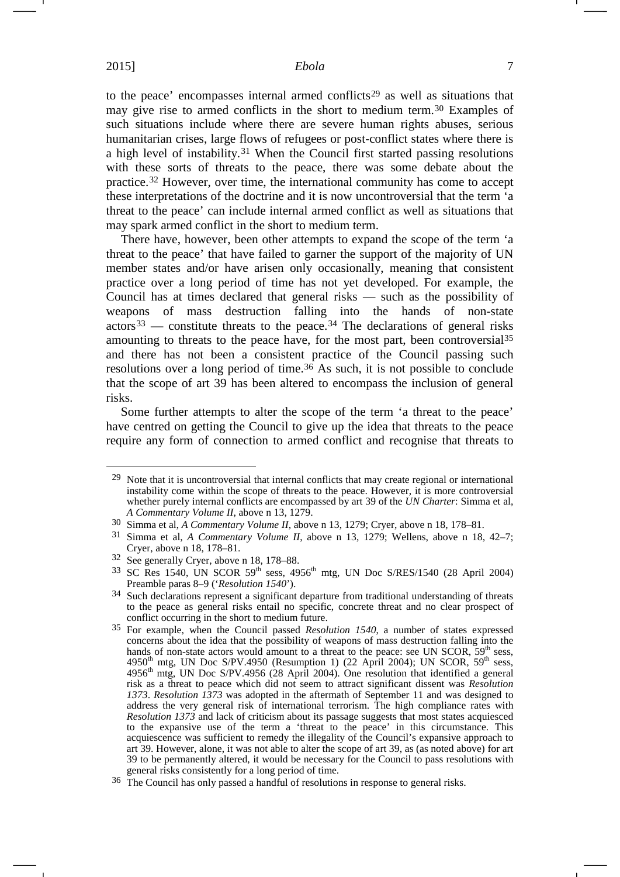to the peace' encompasses internal armed conflicts<sup>[29](#page-6-0)</sup> as well as situations that may give rise to armed conflicts in the short to medium term.[30](#page-6-1) Examples of such situations include where there are severe human rights abuses, serious humanitarian crises, large flows of refugees or post-conflict states where there is a high level of instability.[31](#page-6-2) When the Council first started passing resolutions with these sorts of threats to the peace, there was some debate about the practice.[32](#page-6-3) However, over time, the international community has come to accept these interpretations of the doctrine and it is now uncontroversial that the term 'a threat to the peace' can include internal armed conflict as well as situations that may spark armed conflict in the short to medium term.

There have, however, been other attempts to expand the scope of the term 'a threat to the peace' that have failed to garner the support of the majority of UN member states and/or have arisen only occasionally, meaning that consistent practice over a long period of time has not yet developed. For example, the Council has at times declared that general risks — such as the possibility of weapons of mass destruction falling into the hands of non-state  $\arccos^{33}$  $\arccos^{33}$  $\arccos^{33}$  — constitute threats to the peace.<sup>[34](#page-6-5)</sup> The declarations of general risks amounting to threats to the peace have, for the most part, been controversial<sup>[35](#page-6-6)</sup> and there has not been a consistent practice of the Council passing such resolutions over a long period of time.<sup>[36](#page-6-7)</sup> As such, it is not possible to conclude that the scope of art 39 has been altered to encompass the inclusion of general risks.

Some further attempts to alter the scope of the term 'a threat to the peace' have centred on getting the Council to give up the idea that threats to the peace require any form of connection to armed conflict and recognise that threats to

<span id="page-6-0"></span><sup>&</sup>lt;sup>29</sup> Note that it is uncontroversial that internal conflicts that may create regional or international instability come within the scope of threats to the peace. However, it is more controversial whether purely internal conflicts are encompassed by art 39 of the *UN Charter*: Simma et al, *A Commentary Volume II*, above n [13,](#page-3-0) 1279.

<span id="page-6-1"></span><sup>30</sup> Simma et al, *A Commentary Volume II*, above n [13,](#page-3-0) 1279; Cryer, above n [18,](#page-3-9) 178–81.

<span id="page-6-2"></span><sup>31</sup> Simma et al, *A Commentary Volume II*, above n [13,](#page-3-0) 1279; Wellens, above n [18,](#page-3-9) 42–7; Cryer, above n [18,](#page-3-9) 178–81.

<span id="page-6-3"></span><sup>32</sup> See generally Cryer, above n [18,](#page-3-9) 178–88.

<span id="page-6-4"></span> $33$  SC Res 1540, UN SCOR 59<sup>th</sup> sess, 4956<sup>th</sup> mtg, UN Doc S/RES/1540 (28 April 2004) Preamble paras 8–9 ('*Resolution 1540*').

<span id="page-6-5"></span><sup>&</sup>lt;sup>34</sup> Such declarations represent a significant departure from traditional understanding of threats to the peace as general risks entail no specific, concrete threat and no clear prospect of conflict occurring in the short to medium future.

<span id="page-6-6"></span><sup>35</sup> For example, when the Council passed *Resolution 1540*, a number of states expressed concerns about the idea that the possibility of weapons of mass destruction falling into the hands of non-state actors would amount to a threat to the peace: see UN SCOR,  $59<sup>th</sup>$  sess, 4950<sup>th</sup> mtg, UN Doc S/PV.4950 (Resumption 1) (22 April 2004); UN SCOR, 59<sup>th</sup> sess, 4956<sup>th</sup> mtg, UN Doc S/PV.4956 (28 April 2004). One resolution that identified a general risk as a threat to peace which did not seem to attract significant dissent was *Resolution 1373*. *Resolution 1373* was adopted in the aftermath of September 11 and was designed to address the very general risk of international terrorism. The high compliance rates with *Resolution 1373* and lack of criticism about its passage suggests that most states acquiesced to the expansive use of the term a 'threat to the peace' in this circumstance. This acquiescence was sufficient to remedy the illegality of the Council's expansive approach to art 39. However, alone, it was not able to alter the scope of art 39, as (as noted above) for art 39 to be permanently altered, it would be necessary for the Council to pass resolutions with general risks consistently for a long period of time.

<span id="page-6-7"></span><sup>36</sup> The Council has only passed a handful of resolutions in response to general risks.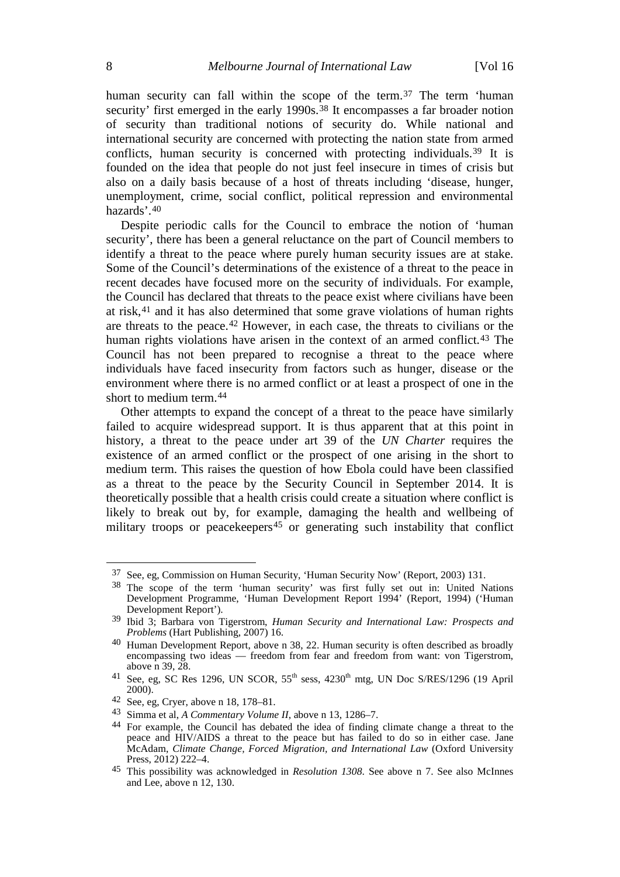<span id="page-7-1"></span><span id="page-7-0"></span>human security can fall within the scope of the term.<sup>[37](#page-7-2)</sup> The term 'human security' first emerged in the early 1990s.<sup>[38](#page-7-3)</sup> It encompasses a far broader notion of security than traditional notions of security do. While national and international security are concerned with protecting the nation state from armed conflicts, human security is concerned with protecting individuals.<sup>[39](#page-7-4)</sup> It is founded on the idea that people do not just feel insecure in times of crisis but also on a daily basis because of a host of threats including 'disease, hunger, unemployment, crime, social conflict, political repression and environmental hazards'.[40](#page-7-5)

Despite periodic calls for the Council to embrace the notion of 'human security', there has been a general reluctance on the part of Council members to identify a threat to the peace where purely human security issues are at stake. Some of the Council's determinations of the existence of a threat to the peace in recent decades have focused more on the security of individuals. For example, the Council has declared that threats to the peace exist where civilians have been at risk,[41](#page-7-6) and it has also determined that some grave violations of human rights are threats to the peace.[42](#page-7-7) However, in each case, the threats to civilians or the human rights violations have arisen in the context of an armed conflict.<sup>[43](#page-7-8)</sup> The Council has not been prepared to recognise a threat to the peace where individuals have faced insecurity from factors such as hunger, disease or the environment where there is no armed conflict or at least a prospect of one in the short to medium term.[44](#page-7-9)

<span id="page-7-11"></span>Other attempts to expand the concept of a threat to the peace have similarly failed to acquire widespread support. It is thus apparent that at this point in history, a threat to the peace under art 39 of the *UN Charter* requires the existence of an armed conflict or the prospect of one arising in the short to medium term. This raises the question of how Ebola could have been classified as a threat to the peace by the Security Council in September 2014. It is theoretically possible that a health crisis could create a situation where conflict is likely to break out by, for example, damaging the health and wellbeing of military troops or peacekeepers<sup>[45](#page-7-10)</sup> or generating such instability that conflict

<span id="page-7-3"></span><span id="page-7-2"></span> <sup>37</sup> See, eg, Commission on Human Security, 'Human Security Now' (Report, 2003) 131.

<sup>38</sup> The scope of the term 'human security' was first fully set out in: United Nations Development Programme, 'Human Development Report 1994' (Report, 1994) ('Human Development Report').

<span id="page-7-4"></span><sup>39</sup> Ibid 3; Barbara von Tigerstrom, *Human Security and International Law: Prospects and Problems* (Hart Publishing, 2007) 16.

<span id="page-7-5"></span><sup>40</sup> Human Development Report, above n [38,](#page-7-0) 22. Human security is often described as broadly encompassing two ideas — freedom from fear and freedom from want: von Tigerstrom, above n [39,](#page-7-1) 28.

<span id="page-7-6"></span><sup>&</sup>lt;sup>41</sup> See, eg, SC Res 1296, UN SCOR,  $55<sup>th</sup>$  sess,  $4230<sup>th</sup>$  mtg, UN Doc S/RES/1296 (19 April 2000).

<span id="page-7-7"></span><sup>42</sup> See, eg, Cryer, above n [18,](#page-3-9) 178–81.

<span id="page-7-8"></span><sup>43</sup> Simma et al, *A Commentary Volume II*, above n [13,](#page-3-0) 1286–7.

<span id="page-7-9"></span><sup>44</sup> For example, the Council has debated the idea of finding climate change a threat to the peace and HIV/AIDS a threat to the peace but has failed to do so in either case. Jane McAdam, *Climate Change, Forced Migration, and International Law* (Oxford University Press, 2012) 222–4.

<span id="page-7-10"></span><sup>45</sup> This possibility was acknowledged in *Resolution 1308*. See above n [7.](#page-1-7) See also McInnes and Lee, above n [12,](#page-3-10) 130.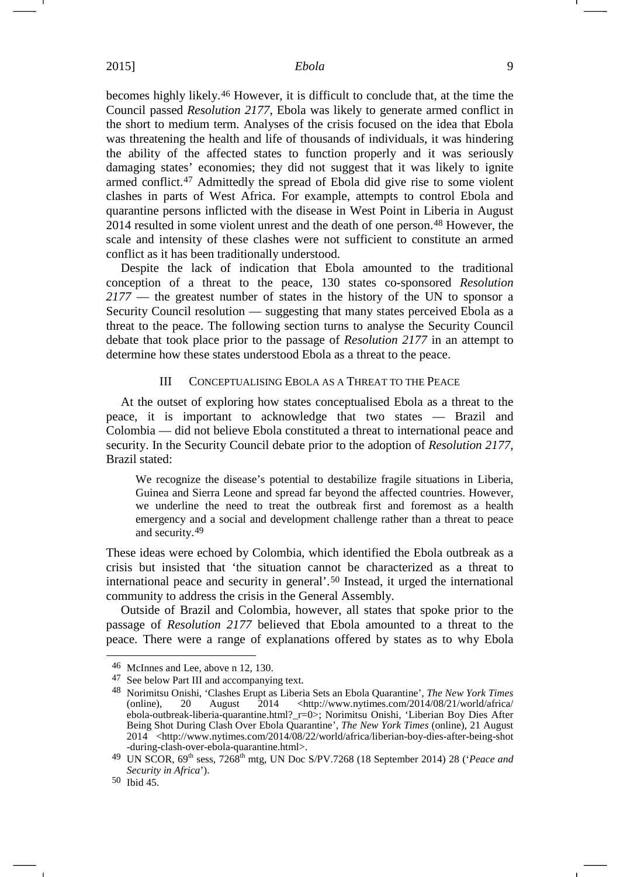becomes highly likely.[46](#page-8-0) However, it is difficult to conclude that, at the time the Council passed *Resolution 2177*, Ebola was likely to generate armed conflict in the short to medium term. Analyses of the crisis focused on the idea that Ebola was threatening the health and life of thousands of individuals, it was hindering the ability of the affected states to function properly and it was seriously damaging states' economies; they did not suggest that it was likely to ignite armed conflict.[47](#page-8-1) Admittedly the spread of Ebola did give rise to some violent clashes in parts of West Africa. For example, attempts to control Ebola and quarantine persons inflicted with the disease in West Point in Liberia in August 2014 resulted in some violent unrest and the death of one person.[48](#page-8-2) However, the scale and intensity of these clashes were not sufficient to constitute an armed conflict as it has been traditionally understood.

Despite the lack of indication that Ebola amounted to the traditional conception of a threat to the peace, 130 states co-sponsored *Resolution 2177* — the greatest number of states in the history of the UN to sponsor a Security Council resolution — suggesting that many states perceived Ebola as a threat to the peace. The following section turns to analyse the Security Council debate that took place prior to the passage of *Resolution 2177* in an attempt to determine how these states understood Ebola as a threat to the peace.

### III CONCEPTUALISING EBOLA AS A THREAT TO THE PEACE

At the outset of exploring how states conceptualised Ebola as a threat to the peace, it is important to acknowledge that two states — Brazil and Colombia — did not believe Ebola constituted a threat to international peace and security. In the Security Council debate prior to the adoption of *Resolution 2177*, Brazil stated:

We recognize the disease's potential to destabilize fragile situations in Liberia, Guinea and Sierra Leone and spread far beyond the affected countries. However, we underline the need to treat the outbreak first and foremost as a health emergency and a social and development challenge rather than a threat to peace and security.[49](#page-8-3)

These ideas were echoed by Colombia, which identified the Ebola outbreak as a crisis but insisted that 'the situation cannot be characterized as a threat to international peace and security in general'.[50](#page-8-4) Instead, it urged the international community to address the crisis in the General Assembly.

Outside of Brazil and Colombia, however, all states that spoke prior to the passage of *Resolution 2177* believed that Ebola amounted to a threat to the peace. There were a range of explanations offered by states as to why Ebola

<span id="page-8-1"></span><span id="page-8-0"></span> <sup>46</sup> McInnes and Lee, above n [12,](#page-3-10) 130.

<span id="page-8-2"></span><sup>47</sup> See below Part III and accompanying text.

<sup>48</sup> Norimitsu Onishi, 'Clashes Erupt as Liberia Sets an Ebola Quarantine', *The New York Times* (online), 20 August 2014 <http://www.nytimes.com/2014/08/21/world/africa/ ebola-outbreak-liberia-quarantine.html?\_r=0>; Norimitsu Onishi, 'Liberian Boy Dies After Being Shot During Clash Over Ebola Quarantine', *The New York Times* (online), 21 August 2014 <http://www.nytimes.com/2014/08/22/world/africa/liberian-boy-dies-after-being-shot -during-clash-over-ebola-quarantine.html>.

<span id="page-8-3"></span><sup>&</sup>lt;sup>49</sup> UN SCOR, 69<sup>th</sup> sess, 7268<sup>th</sup> mtg, UN Doc S/PV.7268 (18 September 2014) 28 (*'Peace and Security in Africa*').

<span id="page-8-4"></span><sup>50</sup> Ibid 45.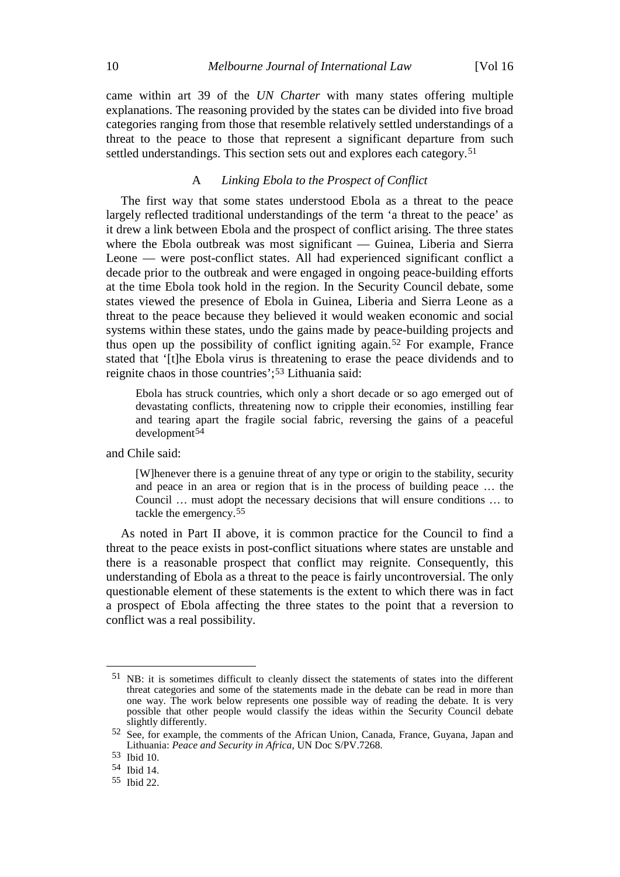came within art 39 of the *UN Charter* with many states offering multiple explanations. The reasoning provided by the states can be divided into five broad categories ranging from those that resemble relatively settled understandings of a threat to the peace to those that represent a significant departure from such settled understandings. This section sets out and explores each category.<sup>[51](#page-9-0)</sup>

### A *Linking Ebola to the Prospect of Conflict*

The first way that some states understood Ebola as a threat to the peace largely reflected traditional understandings of the term 'a threat to the peace' as it drew a link between Ebola and the prospect of conflict arising. The three states where the Ebola outbreak was most significant — Guinea, Liberia and Sierra Leone — were post-conflict states. All had experienced significant conflict a decade prior to the outbreak and were engaged in ongoing peace-building efforts at the time Ebola took hold in the region. In the Security Council debate, some states viewed the presence of Ebola in Guinea, Liberia and Sierra Leone as a threat to the peace because they believed it would weaken economic and social systems within these states, undo the gains made by peace-building projects and thus open up the possibility of conflict igniting again.[52](#page-9-1) For example, France stated that '[t]he Ebola virus is threatening to erase the peace dividends and to reignite chaos in those countries';[53](#page-9-2) Lithuania said:

Ebola has struck countries, which only a short decade or so ago emerged out of devastating conflicts, threatening now to cripple their economies, instilling fear and tearing apart the fragile social fabric, reversing the gains of a peaceful development<sup>[54](#page-9-3)</sup>

and Chile said:

[W]henever there is a genuine threat of any type or origin to the stability, security and peace in an area or region that is in the process of building peace … the Council … must adopt the necessary decisions that will ensure conditions … to tackle the emergency.[55](#page-9-4)

As noted in Part II above, it is common practice for the Council to find a threat to the peace exists in post-conflict situations where states are unstable and there is a reasonable prospect that conflict may reignite. Consequently, this understanding of Ebola as a threat to the peace is fairly uncontroversial. The only questionable element of these statements is the extent to which there was in fact a prospect of Ebola affecting the three states to the point that a reversion to conflict was a real possibility.

<span id="page-9-0"></span> <sup>51</sup> NB: it is sometimes difficult to cleanly dissect the statements of states into the different threat categories and some of the statements made in the debate can be read in more than one way. The work below represents one possible way of reading the debate. It is very possible that other people would classify the ideas within the Security Council debate slightly differently.

<span id="page-9-1"></span><sup>52</sup> See, for example, the comments of the African Union, Canada, France, Guyana, Japan and Lithuania: *Peace and Security in Africa*, UN Doc S/PV.7268.

<span id="page-9-2"></span><sup>53</sup> Ibid 10.

<span id="page-9-3"></span><sup>54</sup> Ibid 14.

<span id="page-9-4"></span><sup>55</sup> Ibid 22.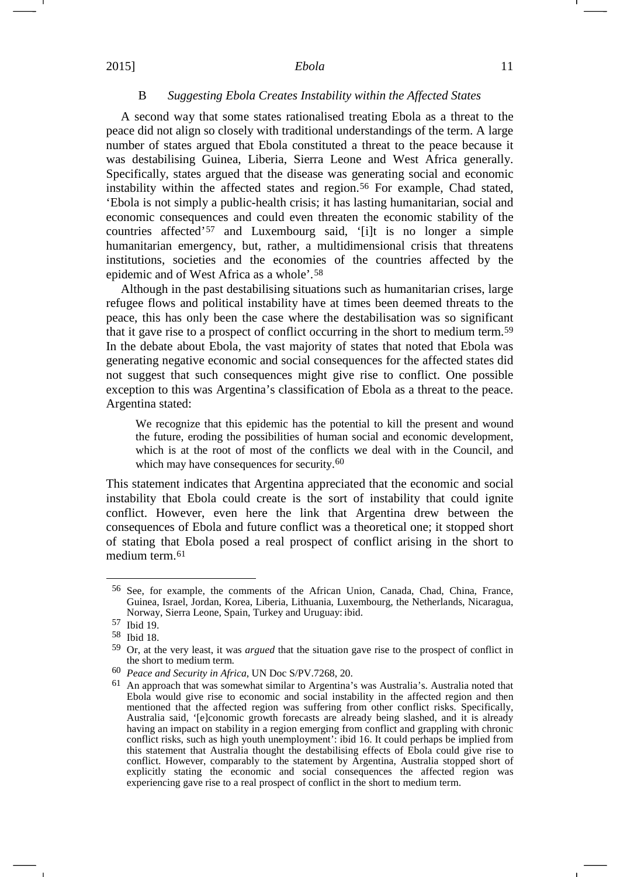#### B *Suggesting Ebola Creates Instability within the Affected States*

A second way that some states rationalised treating Ebola as a threat to the peace did not align so closely with traditional understandings of the term. A large number of states argued that Ebola constituted a threat to the peace because it was destabilising Guinea, Liberia, Sierra Leone and West Africa generally. Specifically, states argued that the disease was generating social and economic instability within the affected states and region.[56](#page-10-0) For example, Chad stated, 'Ebola is not simply a public-health crisis; it has lasting humanitarian, social and economic consequences and could even threaten the economic stability of the countries affected'[57](#page-10-1) and Luxembourg said, '[i]t is no longer a simple humanitarian emergency, but, rather, a multidimensional crisis that threatens institutions, societies and the economies of the countries affected by the epidemic and of West Africa as a whole'.[58](#page-10-2)

Although in the past destabilising situations such as humanitarian crises, large refugee flows and political instability have at times been deemed threats to the peace, this has only been the case where the destabilisation was so significant that it gave rise to a prospect of conflict occurring in the short to medium term.[59](#page-10-3) In the debate about Ebola, the vast majority of states that noted that Ebola was generating negative economic and social consequences for the affected states did not suggest that such consequences might give rise to conflict. One possible exception to this was Argentina's classification of Ebola as a threat to the peace. Argentina stated:

We recognize that this epidemic has the potential to kill the present and wound the future, eroding the possibilities of human social and economic development, which is at the root of most of the conflicts we deal with in the Council, and which may have consequences for security.<sup>[60](#page-10-4)</sup>

This statement indicates that Argentina appreciated that the economic and social instability that Ebola could create is the sort of instability that could ignite conflict. However, even here the link that Argentina drew between the consequences of Ebola and future conflict was a theoretical one; it stopped short of stating that Ebola posed a real prospect of conflict arising in the short to medium term.<sup>[61](#page-10-5)</sup>

-1

<span id="page-10-0"></span> <sup>56</sup> See, for example, the comments of the African Union, Canada, Chad, China, France, Guinea, Israel, Jordan, Korea, Liberia, Lithuania, Luxembourg, the Netherlands, Nicaragua, Norway, Sierra Leone, Spain, Turkey and Uruguay: ibid.

<span id="page-10-1"></span><sup>57</sup> Ibid 19.

<span id="page-10-2"></span><sup>58</sup> Ibid 18.

<span id="page-10-3"></span><sup>59</sup> Or, at the very least, it was *argued* that the situation gave rise to the prospect of conflict in the short to medium term.

<span id="page-10-4"></span><sup>60</sup> *Peace and Security in Africa*, UN Doc S/PV.7268, 20.

<span id="page-10-5"></span><sup>61</sup> An approach that was somewhat similar to Argentina's was Australia's. Australia noted that Ebola would give rise to economic and social instability in the affected region and then mentioned that the affected region was suffering from other conflict risks. Specifically, Australia said, '[e]conomic growth forecasts are already being slashed, and it is already having an impact on stability in a region emerging from conflict and grappling with chronic conflict risks, such as high youth unemployment': ibid 16. It could perhaps be implied from this statement that Australia thought the destabilising effects of Ebola could give rise to conflict. However, comparably to the statement by Argentina, Australia stopped short of explicitly stating the economic and social consequences the affected region was experiencing gave rise to a real prospect of conflict in the short to medium term.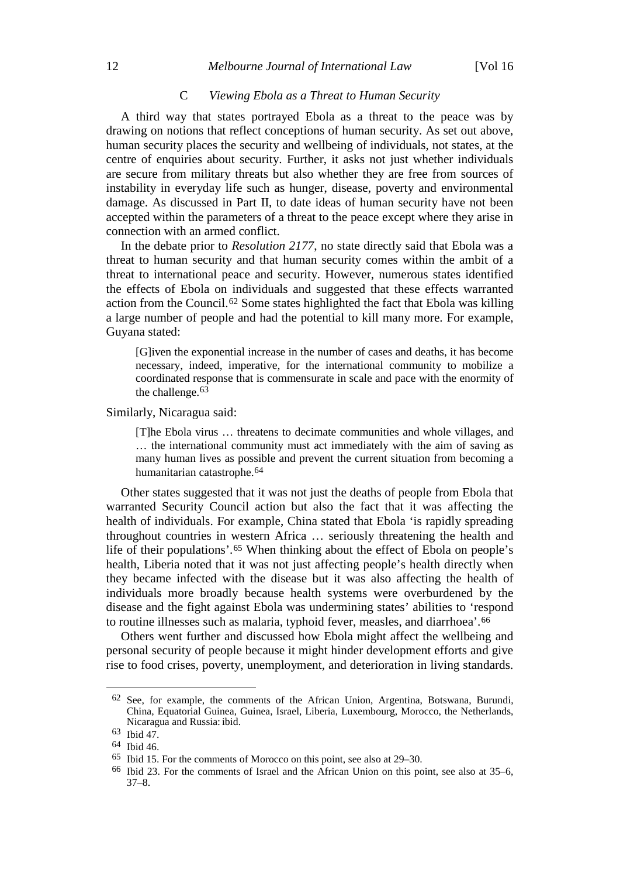### 12 *Melbourne Journal of International Law* [Vol 16

### C *Viewing Ebola as a Threat to Human Security*

A third way that states portrayed Ebola as a threat to the peace was by drawing on notions that reflect conceptions of human security. As set out above, human security places the security and wellbeing of individuals, not states, at the centre of enquiries about security. Further, it asks not just whether individuals are secure from military threats but also whether they are free from sources of instability in everyday life such as hunger, disease, poverty and environmental damage. As discussed in Part II, to date ideas of human security have not been accepted within the parameters of a threat to the peace except where they arise in connection with an armed conflict.

In the debate prior to *Resolution 2177*, no state directly said that Ebola was a threat to human security and that human security comes within the ambit of a threat to international peace and security. However, numerous states identified the effects of Ebola on individuals and suggested that these effects warranted action from the Council.[62](#page-11-0) Some states highlighted the fact that Ebola was killing a large number of people and had the potential to kill many more. For example, Guyana stated:

[G]iven the exponential increase in the number of cases and deaths, it has become necessary, indeed, imperative, for the international community to mobilize a coordinated response that is commensurate in scale and pace with the enormity of the challenge.<sup>[63](#page-11-1)</sup>

Similarly, Nicaragua said:

[T]he Ebola virus … threatens to decimate communities and whole villages, and … the international community must act immediately with the aim of saving as many human lives as possible and prevent the current situation from becoming a humanitarian catastrophe[.64](#page-11-2)

Other states suggested that it was not just the deaths of people from Ebola that warranted Security Council action but also the fact that it was affecting the health of individuals. For example, China stated that Ebola 'is rapidly spreading throughout countries in western Africa … seriously threatening the health and life of their populations'.[65](#page-11-3) When thinking about the effect of Ebola on people's health, Liberia noted that it was not just affecting people's health directly when they became infected with the disease but it was also affecting the health of individuals more broadly because health systems were overburdened by the disease and the fight against Ebola was undermining states' abilities to 'respond to routine illnesses such as malaria, typhoid fever, measles, and diarrhoea'.[66](#page-11-4)

Others went further and discussed how Ebola might affect the wellbeing and personal security of people because it might hinder development efforts and give rise to food crises, poverty, unemployment, and deterioration in living standards.

<span id="page-11-0"></span> <sup>62</sup> See, for example, the comments of the African Union, Argentina, Botswana, Burundi, China, Equatorial Guinea, Guinea, Israel, Liberia, Luxembourg, Morocco, the Netherlands, Nicaragua and Russia: ibid.

<span id="page-11-1"></span><sup>63</sup> Ibid 47.

<span id="page-11-2"></span><sup>64</sup> Ibid 46.

<span id="page-11-3"></span><sup>65</sup> Ibid 15. For the comments of Morocco on this point, see also at 29–30.

<span id="page-11-4"></span><sup>66</sup> Ibid 23. For the comments of Israel and the African Union on this point, see also at 35–6, 37–8.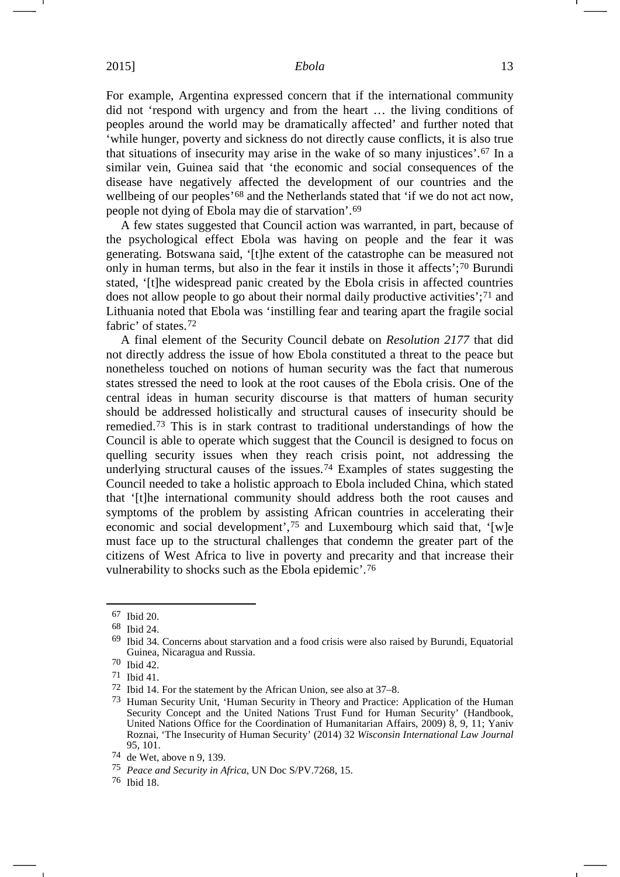For example, Argentina expressed concern that if the international community did not 'respond with urgency and from the heart … the living conditions of peoples around the world may be dramatically affected' and further noted that 'while hunger, poverty and sickness do not directly cause conflicts, it is also true that situations of insecurity may arise in the wake of so many injustices'.[67](#page-12-0) In a similar vein, Guinea said that 'the economic and social consequences of the disease have negatively affected the development of our countries and the wellbeing of our peoples'[68](#page-12-1) and the Netherlands stated that 'if we do not act now, people not dying of Ebola may die of starvation'.[69](#page-12-2)

A few states suggested that Council action was warranted, in part, because of the psychological effect Ebola was having on people and the fear it was generating. Botswana said, '[t]he extent of the catastrophe can be measured not only in human terms, but also in the fear it instils in those it affects';[70](#page-12-3) Burundi stated, '[t]he widespread panic created by the Ebola crisis in affected countries does not allow people to go about their normal daily productive activities';[71](#page-12-4) and Lithuania noted that Ebola was 'instilling fear and tearing apart the fragile social fabric' of states.[72](#page-12-5)

A final element of the Security Council debate on *Resolution 2177* that did not directly address the issue of how Ebola constituted a threat to the peace but nonetheless touched on notions of human security was the fact that numerous states stressed the need to look at the root causes of the Ebola crisis. One of the central ideas in human security discourse is that matters of human security should be addressed holistically and structural causes of insecurity should be remedied.[73](#page-12-6) This is in stark contrast to traditional understandings of how the Council is able to operate which suggest that the Council is designed to focus on quelling security issues when they reach crisis point, not addressing the underlying structural causes of the issues.[74](#page-12-7) Examples of states suggesting the Council needed to take a holistic approach to Ebola included China, which stated that '[t]he international community should address both the root causes and symptoms of the problem by assisting African countries in accelerating their economic and social development',[75](#page-12-8) and Luxembourg which said that, '[w]e must face up to the structural challenges that condemn the greater part of the citizens of West Africa to live in poverty and precarity and that increase their vulnerability to shocks such as the Ebola epidemic'.[76](#page-12-9)

<span id="page-12-1"></span><span id="page-12-0"></span> <sup>67</sup> Ibid 20.

<sup>68</sup> Ibid 24.

<span id="page-12-2"></span><sup>69</sup> Ibid 34. Concerns about starvation and a food crisis were also raised by Burundi, Equatorial Guinea, Nicaragua and Russia.

<span id="page-12-3"></span><sup>70</sup> Ibid 42.

<span id="page-12-4"></span><sup>71</sup> Ibid 41.

<span id="page-12-5"></span><sup>72</sup> Ibid 14. For the statement by the African Union, see also at 37–8.

<span id="page-12-6"></span><sup>&</sup>lt;sup>73</sup> Human Security Unit, 'Human Security in Theory and Practice: Application of the Human Security Concept and the United Nations Trust Fund for Human Security' (Handbook, United Nations Office for the Coordination of Humanitarian Affairs, 2009) 8, 9, 11; Yaniv Roznai, 'The Insecurity of Human Security' (2014) 32 *Wisconsin International Law Journal*  95, 101.

<span id="page-12-7"></span><sup>74</sup> de Wet, above n [9,](#page-2-4) 139.

<span id="page-12-8"></span><sup>75</sup> *Peace and Security in Africa*, UN Doc S/PV.7268, 15.

<span id="page-12-9"></span><sup>76</sup> Ibid 18.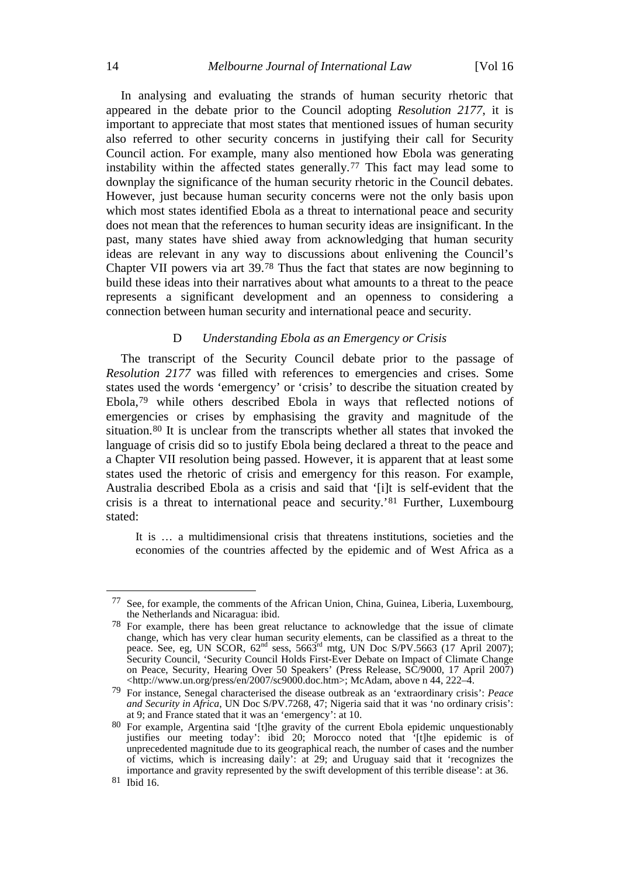In analysing and evaluating the strands of human security rhetoric that appeared in the debate prior to the Council adopting *Resolution 2177*, it is important to appreciate that most states that mentioned issues of human security also referred to other security concerns in justifying their call for Security Council action. For example, many also mentioned how Ebola was generating instability within the affected states generally.[77](#page-13-0) This fact may lead some to downplay the significance of the human security rhetoric in the Council debates. However, just because human security concerns were not the only basis upon which most states identified Ebola as a threat to international peace and security does not mean that the references to human security ideas are insignificant. In the past, many states have shied away from acknowledging that human security ideas are relevant in any way to discussions about enlivening the Council's Chapter VII powers via art 39.[78](#page-13-1) Thus the fact that states are now beginning to build these ideas into their narratives about what amounts to a threat to the peace represents a significant development and an openness to considering a connection between human security and international peace and security.

# D *Understanding Ebola as an Emergency or Crisis*

The transcript of the Security Council debate prior to the passage of *Resolution 2177* was filled with references to emergencies and crises. Some states used the words 'emergency' or 'crisis' to describe the situation created by Ebola,[79](#page-13-2) while others described Ebola in ways that reflected notions of emergencies or crises by emphasising the gravity and magnitude of the situation.[80](#page-13-3) It is unclear from the transcripts whether all states that invoked the language of crisis did so to justify Ebola being declared a threat to the peace and a Chapter VII resolution being passed. However, it is apparent that at least some states used the rhetoric of crisis and emergency for this reason. For example, Australia described Ebola as a crisis and said that '[i]t is self-evident that the crisis is a threat to international peace and security.'[81](#page-13-4) Further, Luxembourg stated:

It is … a multidimensional crisis that threatens institutions, societies and the economies of the countries affected by the epidemic and of West Africa as a

<span id="page-13-0"></span> <sup>77</sup> See, for example, the comments of the African Union, China, Guinea, Liberia, Luxembourg, the Netherlands and Nicaragua: ibid.

<span id="page-13-1"></span><sup>78</sup> For example, there has been great reluctance to acknowledge that the issue of climate change, which has very clear human security elements, can be classified as a threat to the peace. See, eg, UN SCOR,  $62<sup>nd</sup>$  sess,  $5663<sup>rd</sup>$  mtg, UN Doc S/PV.5663 (17 April 2007); Security Council, 'Security Council Holds First-Ever Debate on Impact of Climate Change on Peace, Security, Hearing Over 50 Speakers' (Press Release, SC/9000, 17 April 2007)  $\lt$ http://www.un.org/press/en/2007/sc9000.doc.htm>; McAdam, above n [44,](#page-7-11) 222–4.

<span id="page-13-2"></span><sup>79</sup> For instance, Senegal characterised the disease outbreak as an 'extraordinary crisis': *Peace and Security in Africa*, UN Doc S/PV.7268, 47; Nigeria said that it was 'no ordinary crisis': at 9; and France stated that it was an 'emergency': at 10.

<span id="page-13-4"></span><span id="page-13-3"></span><sup>80</sup> For example, Argentina said '[t]he gravity of the current Ebola epidemic unquestionably justifies our meeting today': ibid 20; Morocco noted that '[t]he epidemic is of unprecedented magnitude due to its geographical reach, the number of cases and the number of victims, which is increasing daily': at 29; and Uruguay said that it 'recognizes the importance and gravity represented by the swift development of this terrible disease': at 36. 81 Ibid 16.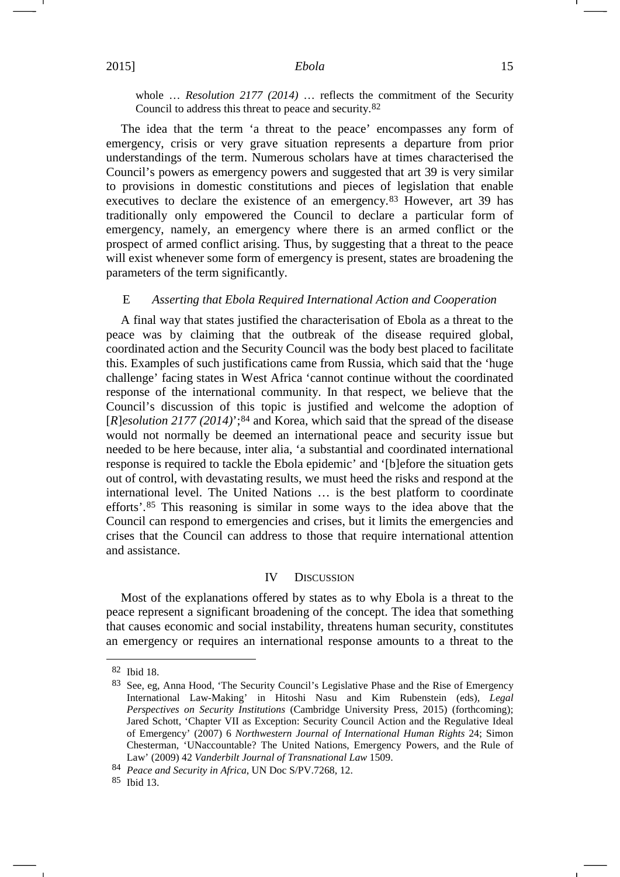<span id="page-14-4"></span>whole … *Resolution 2177 (2014)* … reflects the commitment of the Security Council to address this threat to peace and security.[82](#page-14-0)

The idea that the term 'a threat to the peace' encompasses any form of emergency, crisis or very grave situation represents a departure from prior understandings of the term. Numerous scholars have at times characterised the Council's powers as emergency powers and suggested that art 39 is very similar to provisions in domestic constitutions and pieces of legislation that enable executives to declare the existence of an emergency.<sup>[83](#page-14-1)</sup> However, art 39 has traditionally only empowered the Council to declare a particular form of emergency, namely, an emergency where there is an armed conflict or the prospect of armed conflict arising. Thus, by suggesting that a threat to the peace will exist whenever some form of emergency is present, states are broadening the parameters of the term significantly.

#### E *Asserting that Ebola Required International Action and Cooperation*

A final way that states justified the characterisation of Ebola as a threat to the peace was by claiming that the outbreak of the disease required global, coordinated action and the Security Council was the body best placed to facilitate this. Examples of such justifications came from Russia, which said that the 'huge challenge' facing states in West Africa 'cannot continue without the coordinated response of the international community. In that respect, we believe that the Council's discussion of this topic is justified and welcome the adoption of [*R*]*esolution 2177 (2014)*';[84](#page-14-2) and Korea, which said that the spread of the disease would not normally be deemed an international peace and security issue but needed to be here because, inter alia, 'a substantial and coordinated international response is required to tackle the Ebola epidemic' and '[b]efore the situation gets out of control, with devastating results, we must heed the risks and respond at the international level. The United Nations … is the best platform to coordinate efforts'.[85](#page-14-3) This reasoning is similar in some ways to the idea above that the Council can respond to emergencies and crises, but it limits the emergencies and crises that the Council can address to those that require international attention and assistance.

### IV DISCUSSION

Most of the explanations offered by states as to why Ebola is a threat to the peace represent a significant broadening of the concept. The idea that something that causes economic and social instability, threatens human security, constitutes an emergency or requires an international response amounts to a threat to the

<span id="page-14-1"></span><span id="page-14-0"></span> <sup>82</sup> Ibid 18.

<sup>83</sup> See, eg, Anna Hood, 'The Security Council's Legislative Phase and the Rise of Emergency International Law-Making' in Hitoshi Nasu and Kim Rubenstein (eds), *Legal Perspectives on Security Institutions* (Cambridge University Press, 2015) (forthcoming); Jared Schott, 'Chapter VII as Exception: Security Council Action and the Regulative Ideal of Emergency' (2007) 6 *Northwestern Journal of International Human Rights* 24; Simon Chesterman, 'UNaccountable? The United Nations, Emergency Powers, and the Rule of Law' (2009) 42 *Vanderbilt Journal of Transnational Law* 1509.

<span id="page-14-2"></span><sup>84</sup> *Peace and Security in Africa*, UN Doc S/PV.7268, 12.

<span id="page-14-3"></span><sup>85</sup> Ibid 13.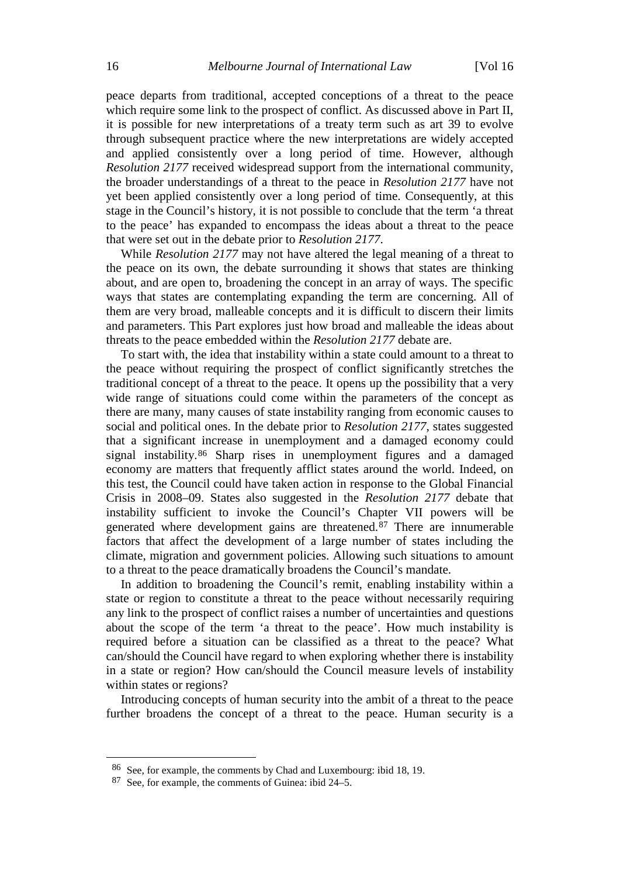peace departs from traditional, accepted conceptions of a threat to the peace which require some link to the prospect of conflict. As discussed above in Part II, it is possible for new interpretations of a treaty term such as art 39 to evolve through subsequent practice where the new interpretations are widely accepted and applied consistently over a long period of time. However, although *Resolution 2177* received widespread support from the international community, the broader understandings of a threat to the peace in *Resolution 2177* have not yet been applied consistently over a long period of time. Consequently, at this stage in the Council's history, it is not possible to conclude that the term 'a threat to the peace' has expanded to encompass the ideas about a threat to the peace that were set out in the debate prior to *Resolution 2177*.

While *Resolution 2177* may not have altered the legal meaning of a threat to the peace on its own, the debate surrounding it shows that states are thinking about, and are open to, broadening the concept in an array of ways. The specific ways that states are contemplating expanding the term are concerning. All of them are very broad, malleable concepts and it is difficult to discern their limits and parameters. This Part explores just how broad and malleable the ideas about threats to the peace embedded within the *Resolution 2177* debate are.

To start with, the idea that instability within a state could amount to a threat to the peace without requiring the prospect of conflict significantly stretches the traditional concept of a threat to the peace. It opens up the possibility that a very wide range of situations could come within the parameters of the concept as there are many, many causes of state instability ranging from economic causes to social and political ones. In the debate prior to *Resolution 2177*, states suggested that a significant increase in unemployment and a damaged economy could signal instability.[86](#page-15-0) Sharp rises in unemployment figures and a damaged economy are matters that frequently afflict states around the world. Indeed, on this test, the Council could have taken action in response to the Global Financial Crisis in 2008–09. States also suggested in the *Resolution 2177* debate that instability sufficient to invoke the Council's Chapter VII powers will be generated where development gains are threatened.[87](#page-15-1) There are innumerable factors that affect the development of a large number of states including the climate, migration and government policies. Allowing such situations to amount to a threat to the peace dramatically broadens the Council's mandate.

In addition to broadening the Council's remit, enabling instability within a state or region to constitute a threat to the peace without necessarily requiring any link to the prospect of conflict raises a number of uncertainties and questions about the scope of the term 'a threat to the peace'. How much instability is required before a situation can be classified as a threat to the peace? What can/should the Council have regard to when exploring whether there is instability in a state or region? How can/should the Council measure levels of instability within states or regions?

Introducing concepts of human security into the ambit of a threat to the peace further broadens the concept of a threat to the peace. Human security is a

<span id="page-15-0"></span> <sup>86</sup> See, for example, the comments by Chad and Luxembourg: ibid 18, 19.

<span id="page-15-1"></span><sup>87</sup> See, for example, the comments of Guinea: ibid 24–5.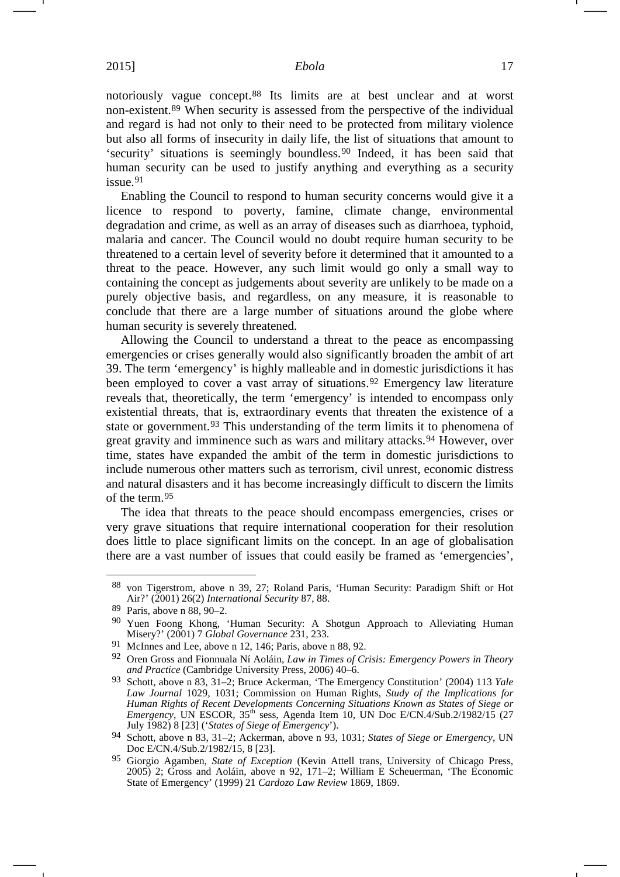<span id="page-16-0"></span>notoriously vague concept.[88](#page-16-3) Its limits are at best unclear and at worst non-existent.[89](#page-16-4) When security is assessed from the perspective of the individual and regard is had not only to their need to be protected from military violence but also all forms of insecurity in daily life, the list of situations that amount to 'security' situations is seemingly boundless.[90](#page-16-5) Indeed, it has been said that human security can be used to justify anything and everything as a security issue.[91](#page-16-6)

Enabling the Council to respond to human security concerns would give it a licence to respond to poverty, famine, climate change, environmental degradation and crime, as well as an array of diseases such as diarrhoea, typhoid, malaria and cancer. The Council would no doubt require human security to be threatened to a certain level of severity before it determined that it amounted to a threat to the peace. However, any such limit would go only a small way to containing the concept as judgements about severity are unlikely to be made on a purely objective basis, and regardless, on any measure, it is reasonable to conclude that there are a large number of situations around the globe where human security is severely threatened.

<span id="page-16-2"></span><span id="page-16-1"></span>Allowing the Council to understand a threat to the peace as encompassing emergencies or crises generally would also significantly broaden the ambit of art 39. The term 'emergency' is highly malleable and in domestic jurisdictions it has been employed to cover a vast array of situations.<sup>[92](#page-16-7)</sup> Emergency law literature reveals that, theoretically, the term 'emergency' is intended to encompass only existential threats, that is, extraordinary events that threaten the existence of a state or government.<sup>[93](#page-16-8)</sup> This understanding of the term limits it to phenomena of great gravity and imminence such as wars and military attacks.[94](#page-16-9) However, over time, states have expanded the ambit of the term in domestic jurisdictions to include numerous other matters such as terrorism, civil unrest, economic distress and natural disasters and it has become increasingly difficult to discern the limits of the term.[95](#page-16-10)

The idea that threats to the peace should encompass emergencies, crises or very grave situations that require international cooperation for their resolution does little to place significant limits on the concept. In an age of globalisation there are a vast number of issues that could easily be framed as 'emergencies',

<span id="page-16-3"></span> <sup>88</sup> von Tigerstrom, above n [39,](#page-7-1) 27; Roland Paris, 'Human Security: Paradigm Shift or Hot Air?' (2001) 26(2) *International Security* 87, 88.

<span id="page-16-4"></span><sup>89</sup> Paris, above n [88,](#page-16-0) 90–2.

<span id="page-16-5"></span><sup>90</sup> Yuen Foong Khong, 'Human Security: A Shotgun Approach to Alleviating Human Misery?' (2001) 7 *Global Governance* 231, 233.

<span id="page-16-6"></span><sup>91</sup> McInnes and Lee, above n [12,](#page-3-10) 146; Paris, above n [88,](#page-16-0) 92.

<span id="page-16-7"></span><sup>92</sup> Oren Gross and Fionnuala Ní Aoláin, *Law in Times of Crisis: Emergency Powers in Theory and Practice* (Cambridge University Press, 2006) 40–6.

<span id="page-16-8"></span><sup>93</sup> Schott, above n [83,](#page-14-4) 31–2; Bruce Ackerman, 'The Emergency Constitution' (2004) 113 *Yale Law Journal* 1029, 1031; Commission on Human Rights, *Study of the Implications for Human Rights of Recent Developments Concerning Situations Known as States of Siege or Emergency*, UN ESCOR,  $35<sup>th</sup>$  sess, Agenda Item 10, UN Doc E/CN.4/Sub.2/1982/15 (27 July 1982) 8 [23] ('*States of Siege of Emergency*').

<span id="page-16-9"></span><sup>94</sup> Schott, above n [83,](#page-14-4) 31–2; Ackerman, above n [93,](#page-16-1) 1031; *States of Siege or Emergency*, UN Doc E/CN.4/Sub.2/1982/15, 8 [23].

<span id="page-16-10"></span><sup>95</sup> Giorgio Agamben, *State of Exception* (Kevin Attell trans, University of Chicago Press, 2005) 2; Gross and Aoláin, above n [92,](#page-16-2) 171–2; William E Scheuerman, 'The Economic State of Emergency' (1999) 21 *Cardozo Law Review* 1869, 1869.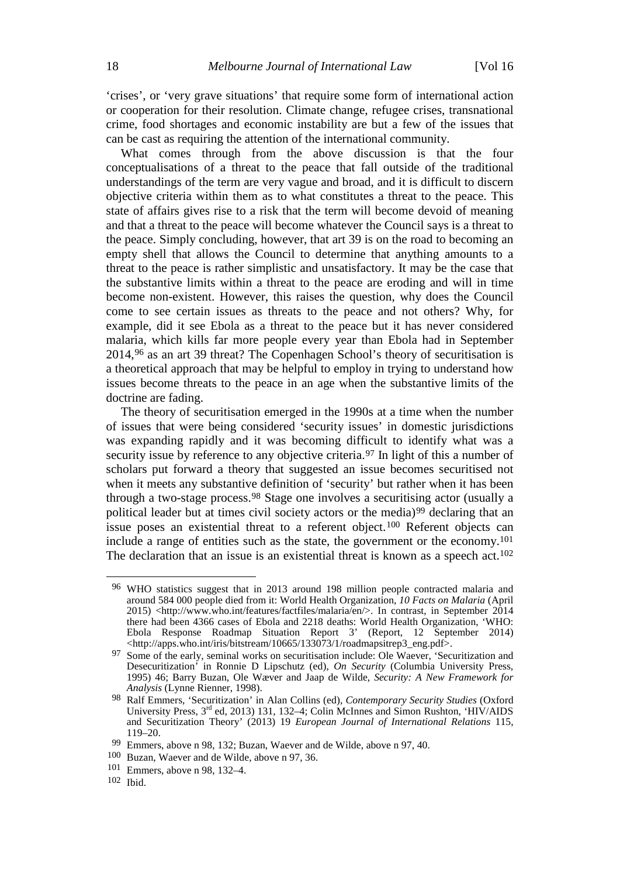'crises', or 'very grave situations' that require some form of international action or cooperation for their resolution. Climate change, refugee crises, transnational crime, food shortages and economic instability are but a few of the issues that can be cast as requiring the attention of the international community.

What comes through from the above discussion is that the four conceptualisations of a threat to the peace that fall outside of the traditional understandings of the term are very vague and broad, and it is difficult to discern objective criteria within them as to what constitutes a threat to the peace. This state of affairs gives rise to a risk that the term will become devoid of meaning and that a threat to the peace will become whatever the Council says is a threat to the peace. Simply concluding, however, that art 39 is on the road to becoming an empty shell that allows the Council to determine that anything amounts to a threat to the peace is rather simplistic and unsatisfactory. It may be the case that the substantive limits within a threat to the peace are eroding and will in time become non-existent. However, this raises the question, why does the Council come to see certain issues as threats to the peace and not others? Why, for example, did it see Ebola as a threat to the peace but it has never considered malaria, which kills far more people every year than Ebola had in September 2014[,96](#page-17-2) as an art 39 threat? The Copenhagen School's theory of securitisation is a theoretical approach that may be helpful to employ in trying to understand how issues become threats to the peace in an age when the substantive limits of the doctrine are fading.

<span id="page-17-1"></span>The theory of securitisation emerged in the 1990s at a time when the number of issues that were being considered 'security issues' in domestic jurisdictions was expanding rapidly and it was becoming difficult to identify what was a security issue by reference to any objective criteria.<sup>[97](#page-17-3)</sup> In light of this a number of scholars put forward a theory that suggested an issue becomes securitised not when it meets any substantive definition of 'security' but rather when it has been through a two-stage process.[98](#page-17-4) Stage one involves a securitising actor (usually a political leader but at times civil society actors or the media)[99](#page-17-5) declaring that an issue poses an existential threat to a referent object.[100](#page-17-6) Referent objects can include a range of entities such as the state, the government or the economy.[101](#page-17-7) The declaration that an issue is an existential threat is known as a speech act.<sup>[102](#page-17-8)</sup>

<span id="page-17-8"></span> $102$  Ibid.

<span id="page-17-2"></span><span id="page-17-0"></span> <sup>96</sup> WHO statistics suggest that in 2013 around 198 million people contracted malaria and around 584 000 people died from it: World Health Organization, *10 Facts on Malaria* (April 2015) <http://www.who.int/features/factfiles/malaria/en/>. In contrast, in September 2014 there had been 4366 cases of Ebola and 2218 deaths: World Health Organization, 'WHO: Ebola Response Roadmap Situation Report 3' (Report, 12 September 2014) <http://apps.who.int/iris/bitstream/10665/133073/1/roadmapsitrep3\_eng.pdf>.

<span id="page-17-3"></span><sup>97</sup> Some of the early, seminal works on securitisation include: Ole Waever, 'Securitization and Desecuritization' in Ronnie D Lipschutz (ed), *On Security* (Columbia University Press, 1995) 46; Barry Buzan, Ole Wæver and Jaap de Wilde, *Security: A New Framework for Analysis* (Lynne Rienner, 1998).

<span id="page-17-4"></span><sup>98</sup> Ralf Emmers, 'Securitization' in Alan Collins (ed), *Contemporary Security Studies* (Oxford University Press,  $3<sup>rd</sup>$  ed, 2013) 131, 132–4; Colin McInnes and Simon Rushton, 'HIV/AIDS and Securitization Theory' (2013) 19 *European Journal of International Relations* 115, 119–20.

<sup>99</sup> Emmers, above n [98,](#page-17-0) 132; Buzan, Waever and de Wilde, above n [97,](#page-17-1) 40.

<span id="page-17-6"></span><span id="page-17-5"></span><sup>100</sup> Buzan, Waever and de Wilde, above n [97,](#page-17-1) 36.

<span id="page-17-7"></span><sup>101</sup> Emmers, above n [98,](#page-17-0) 132–4.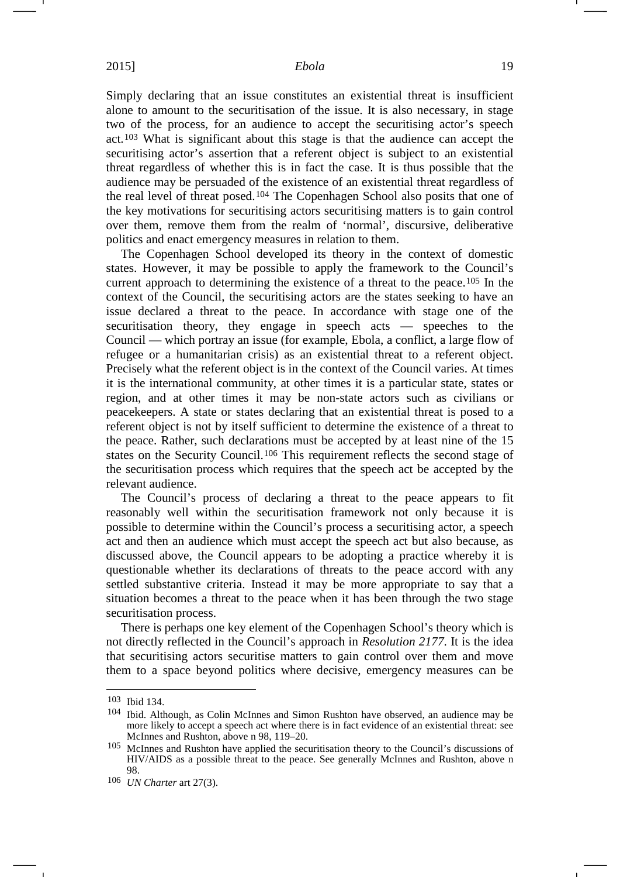Simply declaring that an issue constitutes an existential threat is insufficient alone to amount to the securitisation of the issue. It is also necessary, in stage two of the process, for an audience to accept the securitising actor's speech act.[103](#page-18-0) What is significant about this stage is that the audience can accept the securitising actor's assertion that a referent object is subject to an existential threat regardless of whether this is in fact the case. It is thus possible that the audience may be persuaded of the existence of an existential threat regardless of the real level of threat posed.[104](#page-18-1) The Copenhagen School also posits that one of the key motivations for securitising actors securitising matters is to gain control over them, remove them from the realm of 'normal', discursive, deliberative politics and enact emergency measures in relation to them.

The Copenhagen School developed its theory in the context of domestic states. However, it may be possible to apply the framework to the Council's current approach to determining the existence of a threat to the peace.[105](#page-18-2) In the context of the Council, the securitising actors are the states seeking to have an issue declared a threat to the peace. In accordance with stage one of the securitisation theory, they engage in speech acts — speeches to the Council — which portray an issue (for example, Ebola, a conflict, a large flow of refugee or a humanitarian crisis) as an existential threat to a referent object. Precisely what the referent object is in the context of the Council varies. At times it is the international community, at other times it is a particular state, states or region, and at other times it may be non-state actors such as civilians or peacekeepers. A state or states declaring that an existential threat is posed to a referent object is not by itself sufficient to determine the existence of a threat to the peace. Rather, such declarations must be accepted by at least nine of the 15 states on the Security Council.[106](#page-18-3) This requirement reflects the second stage of the securitisation process which requires that the speech act be accepted by the relevant audience.

The Council's process of declaring a threat to the peace appears to fit reasonably well within the securitisation framework not only because it is possible to determine within the Council's process a securitising actor, a speech act and then an audience which must accept the speech act but also because, as discussed above, the Council appears to be adopting a practice whereby it is questionable whether its declarations of threats to the peace accord with any settled substantive criteria. Instead it may be more appropriate to say that a situation becomes a threat to the peace when it has been through the two stage securitisation process.

There is perhaps one key element of the Copenhagen School's theory which is not directly reflected in the Council's approach in *Resolution 2177*. It is the idea that securitising actors securitise matters to gain control over them and move them to a space beyond politics where decisive, emergency measures can be

<span id="page-18-0"></span> <sup>103</sup> Ibid 134.

<span id="page-18-1"></span><sup>104</sup> Ibid. Although, as Colin McInnes and Simon Rushton have observed, an audience may be more likely to accept a speech act where there is in fact evidence of an existential threat: see McInnes and Rushton, above n [98,](#page-17-0) 119–20.

<span id="page-18-2"></span><sup>105</sup> McInnes and Rushton have applied the securitisation theory to the Council's discussions of HIV/AIDS as a possible threat to the peace. See generally McInnes and Rushton, above n [98.](#page-17-0)

<span id="page-18-3"></span><sup>106</sup> *UN Charter* art 27(3).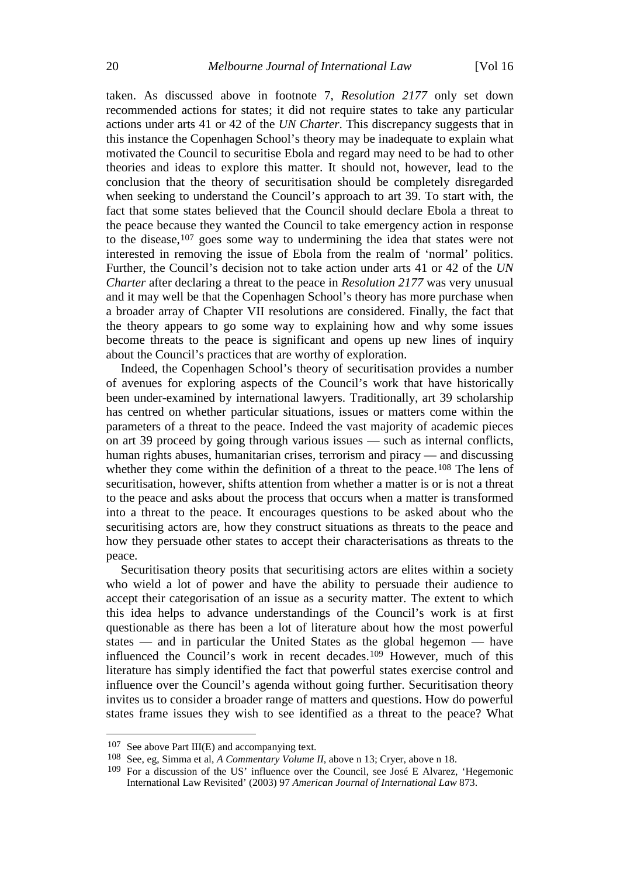taken. As discussed above in footnote 7, *Resolution 2177* only set down recommended actions for states; it did not require states to take any particular actions under arts 41 or 42 of the *UN Charter*. This discrepancy suggests that in this instance the Copenhagen School's theory may be inadequate to explain what motivated the Council to securitise Ebola and regard may need to be had to other theories and ideas to explore this matter. It should not, however, lead to the conclusion that the theory of securitisation should be completely disregarded when seeking to understand the Council's approach to art 39. To start with, the fact that some states believed that the Council should declare Ebola a threat to the peace because they wanted the Council to take emergency action in response to the disease,[107](#page-19-0) goes some way to undermining the idea that states were not interested in removing the issue of Ebola from the realm of 'normal' politics. Further, the Council's decision not to take action under arts 41 or 42 of the *UN Charter* after declaring a threat to the peace in *Resolution 2177* was very unusual and it may well be that the Copenhagen School's theory has more purchase when a broader array of Chapter VII resolutions are considered. Finally, the fact that the theory appears to go some way to explaining how and why some issues become threats to the peace is significant and opens up new lines of inquiry about the Council's practices that are worthy of exploration.

Indeed, the Copenhagen School's theory of securitisation provides a number of avenues for exploring aspects of the Council's work that have historically been under-examined by international lawyers. Traditionally, art 39 scholarship has centred on whether particular situations, issues or matters come within the parameters of a threat to the peace. Indeed the vast majority of academic pieces on art 39 proceed by going through various issues — such as internal conflicts, human rights abuses, humanitarian crises, terrorism and piracy — and discussing whether they come within the definition of a threat to the peace.<sup>[108](#page-19-1)</sup> The lens of securitisation, however, shifts attention from whether a matter is or is not a threat to the peace and asks about the process that occurs when a matter is transformed into a threat to the peace. It encourages questions to be asked about who the securitising actors are, how they construct situations as threats to the peace and how they persuade other states to accept their characterisations as threats to the peace.

Securitisation theory posits that securitising actors are elites within a society who wield a lot of power and have the ability to persuade their audience to accept their categorisation of an issue as a security matter. The extent to which this idea helps to advance understandings of the Council's work is at first questionable as there has been a lot of literature about how the most powerful states — and in particular the United States as the global hegemon — have influenced the Council's work in recent decades.[109](#page-19-2) However, much of this literature has simply identified the fact that powerful states exercise control and influence over the Council's agenda without going further. Securitisation theory invites us to consider a broader range of matters and questions. How do powerful states frame issues they wish to see identified as a threat to the peace? What

<span id="page-19-0"></span> <sup>107</sup> See above Part III(E) and accompanying text.

<span id="page-19-1"></span><sup>108</sup> See, eg, Simma et al, *A Commentary Volume II*, above n [13;](#page-3-0) Cryer, above n [18.](#page-3-9)

<span id="page-19-2"></span><sup>109</sup> For a discussion of the US' influence over the Council, see José E Alvarez, 'Hegemonic International Law Revisited' (2003) 97 *American Journal of International Law* 873.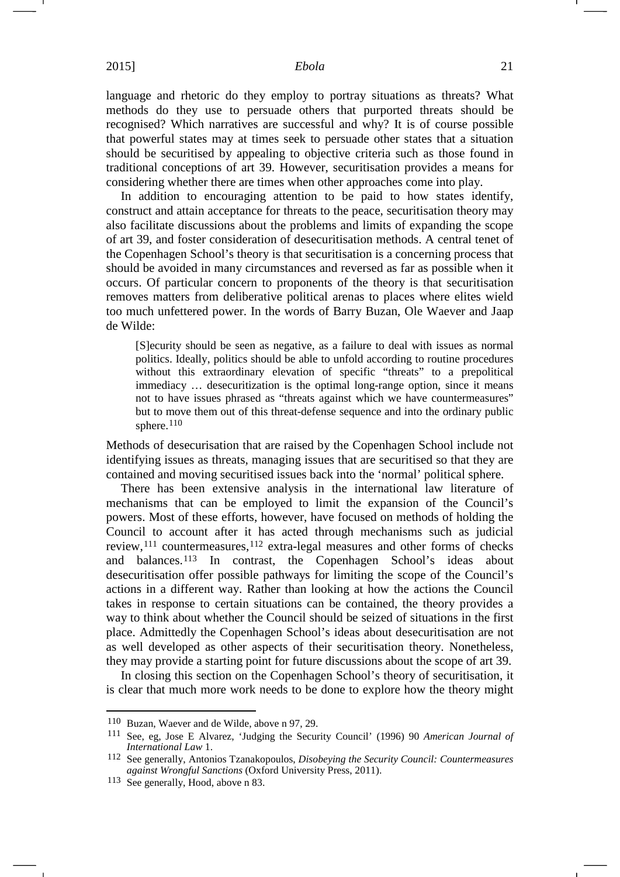language and rhetoric do they employ to portray situations as threats? What methods do they use to persuade others that purported threats should be recognised? Which narratives are successful and why? It is of course possible that powerful states may at times seek to persuade other states that a situation should be securitised by appealing to objective criteria such as those found in traditional conceptions of art 39. However, securitisation provides a means for considering whether there are times when other approaches come into play.

In addition to encouraging attention to be paid to how states identify, construct and attain acceptance for threats to the peace, securitisation theory may also facilitate discussions about the problems and limits of expanding the scope of art 39, and foster consideration of desecuritisation methods. A central tenet of the Copenhagen School's theory is that securitisation is a concerning process that should be avoided in many circumstances and reversed as far as possible when it occurs. Of particular concern to proponents of the theory is that securitisation removes matters from deliberative political arenas to places where elites wield too much unfettered power. In the words of Barry Buzan, Ole Waever and Jaap de Wilde:

[S]ecurity should be seen as negative, as a failure to deal with issues as normal politics. Ideally, politics should be able to unfold according to routine procedures without this extraordinary elevation of specific "threats" to a prepolitical immediacy … desecuritization is the optimal long-range option, since it means not to have issues phrased as "threats against which we have countermeasures" but to move them out of this threat-defense sequence and into the ordinary public sphere.<sup>[110](#page-20-0)</sup>

Methods of desecurisation that are raised by the Copenhagen School include not identifying issues as threats, managing issues that are securitised so that they are contained and moving securitised issues back into the 'normal' political sphere.

There has been extensive analysis in the international law literature of mechanisms that can be employed to limit the expansion of the Council's powers. Most of these efforts, however, have focused on methods of holding the Council to account after it has acted through mechanisms such as judicial review,[111](#page-20-1) countermeasures,[112](#page-20-2) extra-legal measures and other forms of checks and balances.[113](#page-20-3) In contrast, the Copenhagen School's ideas about desecuritisation offer possible pathways for limiting the scope of the Council's actions in a different way. Rather than looking at how the actions the Council takes in response to certain situations can be contained, the theory provides a way to think about whether the Council should be seized of situations in the first place. Admittedly the Copenhagen School's ideas about desecuritisation are not as well developed as other aspects of their securitisation theory. Nonetheless, they may provide a starting point for future discussions about the scope of art 39.

In closing this section on the Copenhagen School's theory of securitisation, it is clear that much more work needs to be done to explore how the theory might

<span id="page-20-0"></span> <sup>110</sup> Buzan, Waever and de Wilde, above n [97,](#page-17-1) 29.

<span id="page-20-1"></span><sup>111</sup> See, eg, Jose E Alvarez, 'Judging the Security Council' (1996) 90 *American Journal of International Law* 1.

<span id="page-20-2"></span><sup>112</sup> See generally, Antonios Tzanakopoulos, *Disobeying the Security Council: Countermeasures against Wrongful Sanctions* (Oxford University Press, 2011).

<span id="page-20-3"></span><sup>113</sup> See generally, Hood, above n [83.](#page-14-4)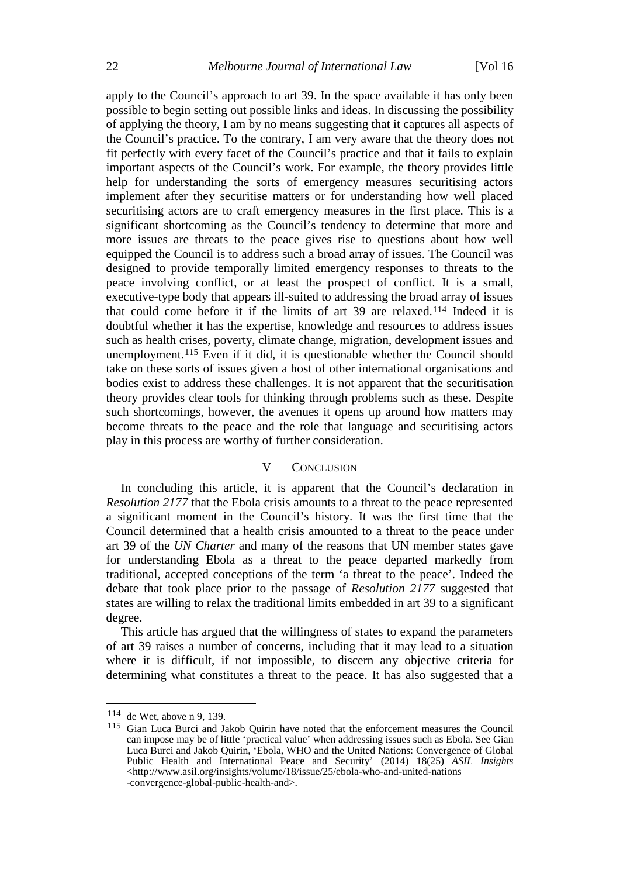apply to the Council's approach to art 39. In the space available it has only been possible to begin setting out possible links and ideas. In discussing the possibility of applying the theory, I am by no means suggesting that it captures all aspects of the Council's practice. To the contrary, I am very aware that the theory does not fit perfectly with every facet of the Council's practice and that it fails to explain important aspects of the Council's work. For example, the theory provides little help for understanding the sorts of emergency measures securitising actors implement after they securitise matters or for understanding how well placed securitising actors are to craft emergency measures in the first place. This is a significant shortcoming as the Council's tendency to determine that more and more issues are threats to the peace gives rise to questions about how well equipped the Council is to address such a broad array of issues. The Council was designed to provide temporally limited emergency responses to threats to the peace involving conflict, or at least the prospect of conflict. It is a small, executive-type body that appears ill-suited to addressing the broad array of issues that could come before it if the limits of art 39 are relaxed.[114](#page-21-0) Indeed it is doubtful whether it has the expertise, knowledge and resources to address issues such as health crises, poverty, climate change, migration, development issues and unemployment.[115](#page-21-1) Even if it did, it is questionable whether the Council should take on these sorts of issues given a host of other international organisations and bodies exist to address these challenges. It is not apparent that the securitisation theory provides clear tools for thinking through problems such as these. Despite such shortcomings, however, the avenues it opens up around how matters may become threats to the peace and the role that language and securitising actors play in this process are worthy of further consideration.

# V CONCLUSION

In concluding this article, it is apparent that the Council's declaration in *Resolution 2177* that the Ebola crisis amounts to a threat to the peace represented a significant moment in the Council's history. It was the first time that the Council determined that a health crisis amounted to a threat to the peace under art 39 of the *UN Charter* and many of the reasons that UN member states gave for understanding Ebola as a threat to the peace departed markedly from traditional, accepted conceptions of the term 'a threat to the peace'. Indeed the debate that took place prior to the passage of *Resolution 2177* suggested that states are willing to relax the traditional limits embedded in art 39 to a significant degree.

This article has argued that the willingness of states to expand the parameters of art 39 raises a number of concerns, including that it may lead to a situation where it is difficult, if not impossible, to discern any objective criteria for determining what constitutes a threat to the peace. It has also suggested that a

<span id="page-21-0"></span> <sup>114</sup> de Wet, above n [9,](#page-2-4) 139.

<span id="page-21-1"></span><sup>115</sup> Gian Luca Burci and Jakob Quirin have noted that the enforcement measures the Council can impose may be of little 'practical value' when addressing issues such as Ebola. See Gian Luca Burci and Jakob Quirin, 'Ebola, WHO and the United Nations: Convergence of Global Public Health and International Peace and Security' (2014) 18(25) *ASIL Insights* <http://www.asil.org/insights/volume/18/issue/25/ebola-who-and-united-nations -convergence-global-public-health-and>.